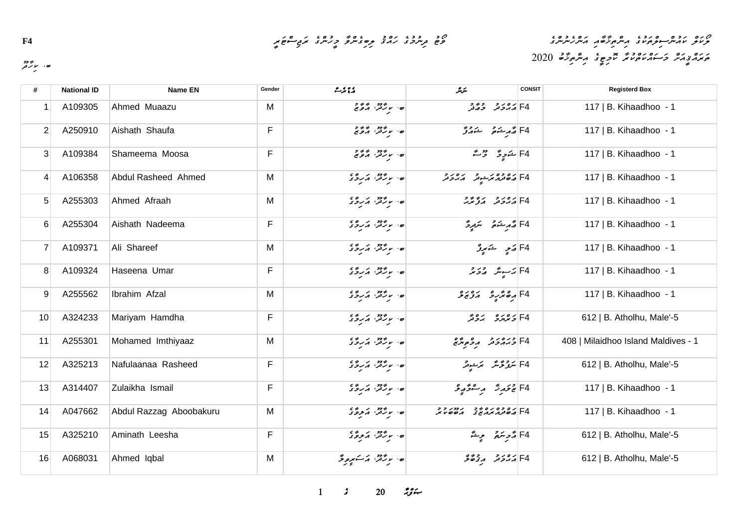*sCw7q7s5w7m< o<n9nOoAw7o< sCq;mAwBoEw7q<m; wBm;vB* م من المرة المرة المرة المرجع المرجع في المركبة 2020<br>مجم*د المريض المربوط المربع المرجع في المراجع المركبة* 

| #              | <b>National ID</b> | Name EN                 | Gender      | ړي کرک                                                              | سرپر                                                                                                           | <b>CONSIT</b> | <b>Registerd Box</b>                |
|----------------|--------------------|-------------------------|-------------|---------------------------------------------------------------------|----------------------------------------------------------------------------------------------------------------|---------------|-------------------------------------|
|                | A109305            | Ahmed Muaazu            | M           | ه ، پارژو، وروی                                                     | F4 كەبرى قىر قىر ئىتىلىق بىر 17 كەنتىر بىر 19 كەنتىر 19 كەنتىر 19 كەنتىر 19 كەنتىر 19 كەنتىر 19 كەنتىر 19 كەنت |               | 117   B. Kihaadhoo - 1              |
| $\overline{2}$ | A250910            | Aishath Shaufa          | F           | 755.720000                                                          | F4 مُذِرِسْتَمْ صَدَرَرٌ                                                                                       |               | 117   B. Kihaadhoo - 1              |
| 3              | A109384            | Shameema Moosa          | F           | 750, 75000                                                          | F4 شَرِوٌ وَ"ـُ                                                                                                |               | 117   B. Kihaadhoo - 1              |
| 4              | A106358            | Abdul Rasheed Ahmed     | M           | ە بىر ئۆز، مەردى                                                    | F4 رەم دىم شوتر كەردىر<br>F4 ھەمەم كىشى كەردىر                                                                 |               | 117   B. Kihaadhoo - 1              |
| 5              | A255303            | Ahmed Afraah            | M           | ه برنده کرده                                                        | F4 <i>הככת הؤيژ ב</i>                                                                                          |               | 117   B. Kihaadhoo - 1              |
| 6              | A255304            | Aishath Nadeema         | F           | ە بىر ئەترى ئەردى                                                   | F4 مُدِيشَة مَدِيرَة                                                                                           |               | 117   B. Kihaadhoo - 1              |
| $\overline{7}$ | A109371            | Ali Shareef             | M           | ھ ، پارچي کريے کا                                                   | F4 <i>۾َ جِ</i> شَمِيرُ                                                                                        |               | 117   B. Kihaadhoo - 1              |
| 8              | A109324            | Haseena Umar            | $\mathsf F$ | ە بىر ئۆز، مەردى                                                    | F4 بَرْسِيمَدْ مِرْحَمَدْ                                                                                      |               | 117   B. Kihaadhoo - 1              |
| 9              | A255562            | Ibrahim Afzal           | M           |                                                                     | F4 رەئزىرى مەدى 7                                                                                              |               | 117   B. Kihaadhoo - 1              |
| 10             | A324233            | Mariyam Hamdha          | F           | صدر عرض المرکزی                                                     | F4 كەبەر بەر بەر ئەر                                                                                           |               | 612   B. Atholhu, Male'-5           |
| 11             | A255301            | Mohamed Imthiyaaz       | M           | ھ ، پارچي کريے کا                                                   | F4 دېرمانه مرو <sub>موم</sub> رم                                                                               |               | 408   Milaidhoo Island Maldives - 1 |
| 12             | A325213            | Nafulaanaa Rasheed      | F           | $\begin{bmatrix} 1 & 1 & 1 \\ 1 & 1 & 1 \\ 1 & 1 & 1 \end{bmatrix}$ | F4 سَرُوْتُرَسَّرَ سَرَسْبِيْرَ                                                                                |               | 612   B. Atholhu, Male'-5           |
| 13             | A314407            | Zulaikha Ismail         | $\mathsf F$ |                                                                     | F4 ىخ ترىر ئە مەگەر ئىچ                                                                                        |               | 117   B. Kihaadhoo - 1              |
| 14             | A047662            | Abdul Razzag Aboobakuru | M           | ه ، بارگیل مرکزه که                                                 | PROVIDE SERVADOS F4                                                                                            |               | 117   B. Kihaadhoo - 1              |
| 15             | A325210            | Aminath Leesha          | F           | ه ، رئيش مُروءٌ کا                                                  | F4 مُر <i>ْمِسَمْ وِح</i> ُّ                                                                                   |               | 612   B. Atholhu, Male'-5           |
| 16             | A068031            | Ahmed Iqbal             | M           | ھ ، بارتق ەسكەبدە بۇ                                                | F4 <i>ב</i> כבע הַצַּפּ                                                                                        |               | 612   B. Atholhu, Male'-5           |

*1 s* 20 *i*<sub>s</sub> 20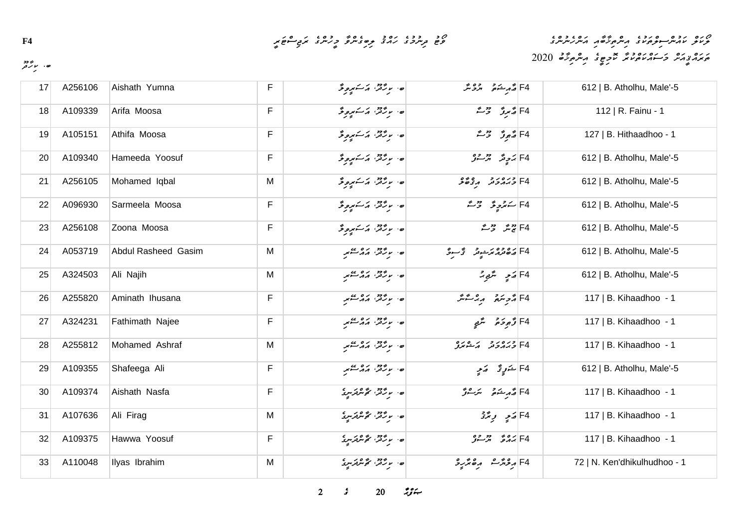*sCw7q7s5w7m< o<n9nOoAw7o< sCq;mAwBoEw7q<m; wBm;vB* م من المرة المرة المرة المرجع المرجع في المركبة 2020<br>مجم*د المريض المربوط المربع المرجع في المراجع المركبة* 

| 17 | A256106 | Aishath Yumna              | $\mathsf{F}$ | ە . بارتىر، ئەسەبرە بۇ                     | F4 مُجم <i>ِّد شَوَّة وَ</i> حَمَّدَ                                            | 612   B. Atholhu, Male'-5    |
|----|---------|----------------------------|--------------|--------------------------------------------|---------------------------------------------------------------------------------|------------------------------|
| 18 | A109339 | Arifa Moosa                | $\mathsf F$  | ە ، بارتىق كەسكىرونتى                      | F4 مُحبرةً حَرَّسَةً                                                            | 112   R. Fainu - 1           |
| 19 | A105151 | Athifa Moosa               | $\mathsf F$  | ە بارتىق كەسكىرە ئى                        | $23$ $3.5$ $54$                                                                 | 127   B. Hithaadhoo - 1      |
| 20 | A109340 | Hameeda Yoosuf             | $\mathsf F$  | ە بەرگە ئەسكىرە ئ                          | F4 بَرَوِيْرٌ بِرْمِيْرٌ وَ                                                     | 612   B. Atholhu, Male'-5    |
| 21 | A256105 | Mohamed Iqbal              | M            | @ سائىقى ئەسكىرە ئى                        | F4 دُبَرور د موقع                                                               | 612   B. Atholhu, Male'-5    |
| 22 | A096930 | Sarmeela Moosa             | $\mathsf F$  | ە ، بەردىن كەسكىرە بۇ                      | F4 س <i>مزم</i> و قریبے ا                                                       | 612   B. Atholhu, Male'-5    |
| 23 | A256108 | Zoona Moosa                | $\mathsf F$  | ە بەرگە ئەسكىرە ئى                         | $23$ $2$ $\frac{2}{5}$ F4                                                       | 612   B. Atholhu, Male'-5    |
| 24 | A053719 | <b>Abdul Rasheed Gasim</b> | M            | ۰۰ بار در ۵۶ مئی در منظم بر                | F4 مَ <i>ے قرم مَرْ</i> شِي <sup>و</sup> َ تَ <sup>9</sup> ْ سِب <sup>و</sup> ُ | 612   B. Atholhu, Male'-5    |
| 25 | A324503 | Ali Najih                  | M            | ه برگرد ده می                              | F4 <i>ھَ۔</i> سَمَّعِ شَ                                                        | 612   B. Atholhu, Male'-5    |
| 26 | A255820 | Aminath Ihusana            | $\mathsf F$  | ه بارود ده به                              | F4 مُجِسَعُ مِيْتَ مَمَّتَر                                                     | 117   B. Kihaadhoo - 1       |
| 27 | A324231 | Fathimath Najee            | $\mathsf F$  | ه . بارتر، ماه به .<br>ه . بارتر، ماه شومر | F4 وَج <i>وحَ</i> هُمَ سَمَّتِي                                                 | 117   B. Kihaadhoo - 1       |
| 28 | A255812 | Mohamed Ashraf             | M            | ه برگتر، مم <i>م شعر</i>                   | F4 32023 كم شويرو                                                               | 117   B. Kihaadhoo - 1       |
| 29 | A109355 | Shafeega Ali               | $\mathsf F$  | ۰۰ بار در ۵۷ مئی با                        | F4 ڪ <i>وڏ چو</i>                                                               | 612   B. Atholhu, Male'-5    |
| 30 | A109374 | Aishath Nasfa              | $\mathsf F$  | ھ بار دو گھريز سر                          | F4 مەم ئىشقى سىر ئىسىرتى                                                        | 117   B. Kihaadhoo - 1       |
| 31 | A107636 | Ali Firag                  | M            | ھ ، بار دو ، گار مریز سری                  | F4 کھ پو مونگر                                                                  | 117   B. Kihaadhoo - 1       |
| 32 | A109375 | Hawwa Yoosuf               | $\mathsf F$  | ھ ، بار دو ، گا مريز ميرند                 | F4 يَرْدُعُ بِرْ بِرْ وَهِ                                                      | 117   B. Kihaadhoo - 1       |
| 33 | A110048 | Ilyas Ibrahim              | M            | ە . بەرگەر ، ئۇنىزىرىكى                    | F4  موټر مشتر مستقدی <sub>ر</sub> و                                             | 72   N. Ken'dhikulhudhoo - 1 |

*2 sC 20 nNw?mS*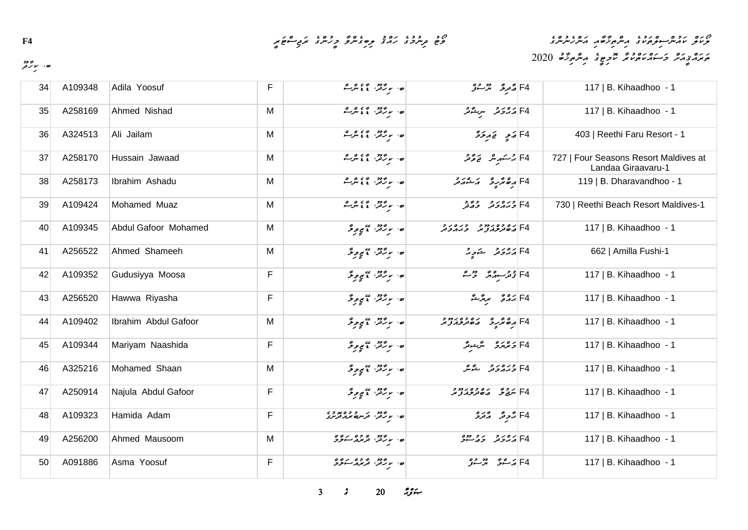*sCw7q7s5w7m< o<n9nOoAw7o< sCq;mAwBoEw7q<m; wBm;vB* م من المرة المرة المرة المرجع المرجع في المركبة 2020<br>مجم*د المريض المربوط المربع المرجع في المراجع المركبة* 

| 34 | A109348 | Adila Yoosuf         | $\mathsf{F}$ | $\mathcal{L}_{\mathcal{P}}$                                                                                                                              |                                       | 117   B. Kihaadhoo - 1                                      |
|----|---------|----------------------|--------------|----------------------------------------------------------------------------------------------------------------------------------------------------------|---------------------------------------|-------------------------------------------------------------|
| 35 | A258169 | Ahmed Nishad         | M            | ە بارتىر، ئەنگرىش                                                                                                                                        | F4 كەبرو تەرەپچە تەرەپىيە F4          | 117   B. Kihaadhoo - 1                                      |
| 36 | A324513 | Ali Jailam           | M            | $\begin{array}{cc} \circ & \circ & \circ & \circ \\ \circ & \circ & \circ & \circ \end{array}$                                                           | F4 <i>جَجِ فَهِ وَوَ</i>              | 403   Reethi Faru Resort - 1                                |
| 37 | A258170 | Hussain Jawaad       | M            |                                                                                                                                                          | F4 پُرڪمبر سُم سَمَحَ حَمَد           | 727   Four Seasons Resort Maldives at<br>Landaa Giraavaru-1 |
| 38 | A258173 | Ibrahim Ashadu       | M            | $\int_{\mathcal{P}} \mathcal{L} \mathcal{L} \mathcal{L} \mathcal{L} \mathcal{L} \mathcal{L} \mathcal{L} \mathcal{L} \mathcal{L} \mathcal{L} \mathcal{L}$ | F4 مەھمگىر قىمىسى ئىسىمبىتىكى بىر     | 119   B. Dharavandhoo - 1                                   |
| 39 | A109424 | Mohamed Muaz         | M            | ه برگري دي وره                                                                                                                                           | F4 32023 F4                           | 730   Reethi Beach Resort Maldives-1                        |
| 40 | A109345 | Abdul Gafoor Mohamed | M            | صرير تركيب مي توسطر<br>  صرير سركيب مي توسطر                                                                                                             | F4   ره وه د وو محد ور و د            | 117   B. Kihaadhoo - 1                                      |
| 41 | A256522 | Ahmed Shameeh        | M            | ه پرتر، بی پوځه                                                                                                                                          | F4 كەبرى قىم ئىقدىمىتى بىر            | 662   Amilla Fushi-1                                        |
| 42 | A109352 | Gudusiyya Moosa      | F            | ه ، پېڭ ، ئې پوځ                                                                                                                                         | F4 توتىر مەرتمە تەسىم                 | 117   B. Kihaadhoo - 1                                      |
| 43 | A256520 | Hawwa Riyasha        | $\mathsf{F}$ | لاس مرکزه انجام موځه                                                                                                                                     | F4 بَرْدُوَّ بِرِبْرُتْدَ             | 117   B. Kihaadhoo - 1                                      |
| 44 | A109402 | Ibrahim Abdul Gafoor | M            | ھ بىر ئەقتى قېم بوڭر                                                                                                                                     | F4 رەئمەرە مەھىر دەرىد                | 117   B. Kihaadhoo - 1                                      |
| 45 | A109344 | Mariyam Naashida     | F            | صرير ترين عي موقر                                                                                                                                        | F4 كى <i>بىرى ئى سى</i> شەن <i>گى</i> | 117   B. Kihaadhoo - 1                                      |
| 46 | A325216 | Mohamed Shaan        | M            | ه . بدر ژه ، ، بې <i>و</i> څه                                                                                                                            | F4 <i>52825</i> متشر                  | 117   B. Kihaadhoo - 1                                      |
| 47 | A250914 | Najula Abdul Gafoor  | $\mathsf{F}$ | ھ ، بارتر، عي بارتر                                                                                                                                      | F4 يروي پره وه درود و                 | 117   B. Kihaadhoo - 1                                      |
| 48 | A109323 | Hamida Adam          | F            | ه . ر کرد . د د د د د د .<br>ه . ر کرد . تر سرچ بر بر تر س                                                                                               | F4 جَّحِفَّہ مُحَمَّدً                | 117   B. Kihaadhoo - 1                                      |
| 49 | A256200 | Ahmed Mausoom        | M            | ه . را دوم . ده د ده و<br>ه . را رقر از تر بور سوتر و                                                                                                    | F4 ג׳כנג <i>בג</i> יביב               | 117   B. Kihaadhoo - 1                                      |
| 50 | A091886 | Asma Yoosuf          | F            | ے - را کروہ اور دور<br>ے - را کریں - فریمران سوگر                                                                                                        | F4 پُرِ شَيْرٌ بِرَبِّ وَهِ           | 117   B. Kihaadhoo - 1                                      |

*3 sC 20 nNw?mS*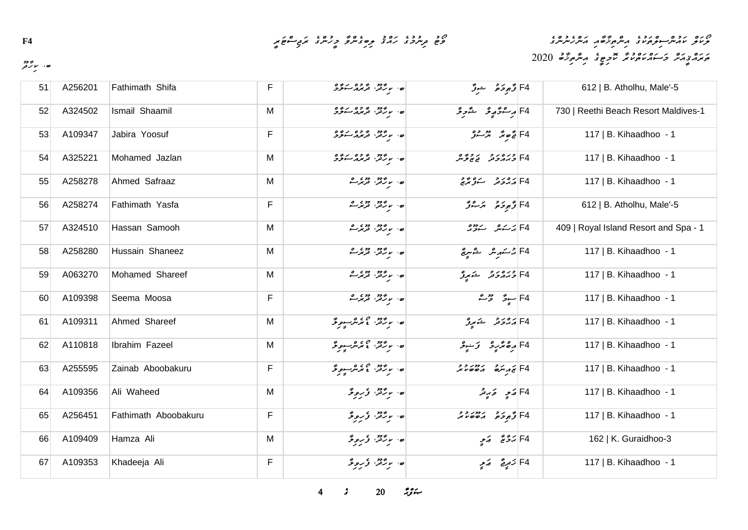*sCw7q7s5w7m< o<n9nOoAw7o< sCq;mAwBoEw7q<m; wBm;vB* م من المرة المرة المرة المرجع المرجع في المركبة 2020<br>مجم*د المريض المربوط المربع المرجع في المراجع المركبة* 

| 51 | A256201 | Fathimath Shifa      | $\mathsf F$ | ے ، را مرکز ، فرمزار شوتر و<br>مسائر ابراہ مرکزار سوتر و | F4 رَّج <i>ودَهُ</i> شِعَرَّ                         | 612   B. Atholhu, Male'-5             |
|----|---------|----------------------|-------------|----------------------------------------------------------|------------------------------------------------------|---------------------------------------|
| 52 | A324502 | Ismail Shaamil       | M           |                                                          | F4 <sub>م</sub> رشۇ <sub>م</sub> ۇ ش <sup>ە</sup> دۇ | 730   Reethi Beach Resort Maldives-1  |
| 53 | A109347 | Jabira Yoosuf        | $\mathsf F$ |                                                          | F4 فَيَصِعَرُ بِرْمِيْنِ                             | 117   B. Kihaadhoo - 1                |
| 54 | A325221 | Mohamed Jazlan       | M           | ه ، بارگان باروه دوه                                     | F4 درەرو دومدى.<br>F4 دىرمەدىر ئى                    | 117   B. Kihaadhoo - 1                |
| 55 | A258278 | Ahmed Safraaz        | M           |                                                          | F4 كەبروتر سۆزىر <i>ە</i>                            | 117   B. Kihaadhoo - 1                |
| 56 | A258274 | Fathimath Yasfa      | F           | ه ، بارگر، تربر ه<br>ه ، بارگر، تربر ه                   | F4 وَجوحَد حَرَبَّ وَ                                | 612   B. Atholhu, Male'-5             |
| 57 | A324510 | Hassan Samooh        | M           | ه ، بارگر، تریز م                                        | F4 پر کے میٹر میں می <b>کر</b>                       | 409   Royal Island Resort and Spa - 1 |
| 58 | A258280 | Hussain Shaneez      | M           | ه بارتو، دوي ه                                           | F4 پُرکرم پر مُحَسِّرِ ج                             | 117   B. Kihaadhoo - 1                |
| 59 | A063270 | Mohamed Shareef      | M           | ه برگر دوره و                                            | F4 <i>3222 متكميل</i>                                | 117   B. Kihaadhoo - 1                |
| 60 | A109398 | Seema Moosa          | F           |                                                          | F4 سوءَ وَيْتَ                                       | 117   B. Kihaadhoo - 1                |
| 61 | A109311 | Ahmed Shareef        | M           | ە بەرگە ئىمەرسومۇ                                        | F4 كەش <sup>ى</sup> تەكەن ئىقدىن ئىقتىن بىر ئى       | 117   B. Kihaadhoo - 1                |
| 62 | A110818 | Ibrahim Fazeel       | M           | ە . بارتىر، ؟ ئەنگەسىزە ئە                               | F4 م <i>وڭ ئۇر</i> بى تۇسونى                         | 117   B. Kihaadhoo - 1                |
| 63 | A255595 | Zainab Aboobakuru    | F           | ە بەر قارەم ئەرەب بەر ق                                  | $77777$ $2777$ F4                                    | 117   B. Kihaadhoo - 1                |
| 64 | A109356 | Ali Waheed           | M           | ە . بارتىق ۋرەپچە                                        | F4 <i>ھَجِ</i> حَدِيثَر                              | 117   B. Kihaadhoo - 1                |
| 65 | A256451 | Fathimath Aboobakuru | F           | ە · بەرتتى، ئۇر <sub>ى</sub> رىدىگە                      | F4 ژُجِرْحَمُ مُصْحَمَّدَ                            | 117   B. Kihaadhoo - 1                |
| 66 | A109409 | Hamza Ali            | M           | ە بەرتىق ۋىروڭ                                           | F4 پَروْیَ کَرَمٍ                                    | 162   K. Guraidhoo-3                  |
| 67 | A109353 | Khadeeja Ali         | $\mathsf F$ | ە بىر ئەنزى ئۈرۈنجە                                      |                                                      | 117   B. Kihaadhoo - 1                |

*4 sC 20 nNw?mS*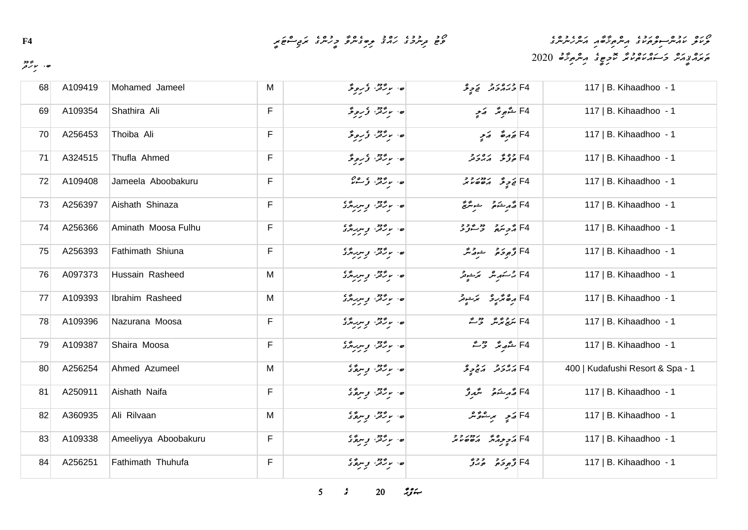*sCw7q7s5w7m< o<n9nOoAw7o< sCq;mAwBoEw7q<m; wBm;vB* م من المرة المرة المرة المرجع المرجع في المركبة 2020<br>مجم*د المريض المربوط المربع المرجع في المراجع المركبة* 

| 68 | A109419 | Mohamed Jameel       | M           | ە · بەرتتى، ئۇر <sub>ى</sub> رىدىگە         | F4   3 <i>3 2 3 3 3 و</i> 3                              | 117   B. Kihaadhoo - 1           |
|----|---------|----------------------|-------------|---------------------------------------------|----------------------------------------------------------|----------------------------------|
| 69 | A109354 | Shathira Ali         | F           | #، بارتىق ۋېرەپچە                           | F4 شُهِرَّ <sub>مَ</sub> رِ                              | 117   B. Kihaadhoo - 1           |
| 70 | A256453 | Thoiba Ali           | $\mathsf F$ | ھ <sub>ا</sub> بورگ <sup>ی</sup> ڈروڈ       | F4 چَهرچَ صَعِ                                           | 117   B. Kihaadhoo - 1           |
| 71 | A324515 | Thufla Ahmed         | $\mathsf F$ | ە بەرتىق ۋېرە ئ                             | F4 <sub>جو</sub> وي پره پروتر                            | 117   B. Kihaadhoo - 1           |
| 72 | A109408 | Jameela Aboobakuru   | F           | ه برند و مر                                 | $5222$ $292$ $525$ $F4$                                  | 117   B. Kihaadhoo - 1           |
| 73 | A256397 | Aishath Shinaza      | $\mathsf F$ | ه ، بارگان و سربردی                         | F4 مُحْمِرِ مُشَمَّعٌ مُسْتَقِيَّةٍ                      | 117   B. Kihaadhoo - 1           |
| 74 | A256366 | Aminath Moosa Fulhu  | $\mathsf F$ | ه ، بارگان و سربردی                         | F4 جُرِسَمَ حَمَدَ مِنْ مَحْمَدَ مِنْ                    | 117   B. Kihaadhoo - 1           |
| 75 | A256393 | Fathimath Shiuna     | $\mathsf F$ | ه ، بارگیر، و سربر و ،                      | F4 <i>وَّجِوحَةْ</i> سِيمَةٌ مَّرَ                       | 117   B. Kihaadhoo - 1           |
| 76 | A097373 | Hussain Rasheed      | M           | @   مارسمبر من مريد وي                      | F4 پُرڪوپس پُرَڪوِپَرُ                                   | 117   B. Kihaadhoo - 1           |
| 77 | A109393 | Ibrahim Rasheed      | M           | ه ، باردو ، و سربروی                        | F4 <sub>م</sub> ەمگرى <sub>د</sub> ۇ ممش <sub>و</sub> مۇ | 117   B. Kihaadhoo - 1           |
| 78 | A109396 | Nazurana Moosa       | $\mathsf F$ | ه ، باردو ، و سربروی                        | F4 سَيِّ مِيْشَر 2ْ سَمَّ                                | 117   B. Kihaadhoo - 1           |
| 79 | A109387 | Shaira Moosa         | F           | ه ، روزه و سربرد و                          | F4 شَهِ تَمَرَّ حَمَدَتَّ                                | 117   B. Kihaadhoo - 1           |
| 80 | A256254 | Ahmed Azumeel        | M           | ه رومبرد و سرگاه                            | F4 <i>ג׳.3 دَ ډَې دِ</i> وْ                              | 400   Kudafushi Resort & Spa - 1 |
| 81 | A250911 | Aishath Naifa        | F           | ه برگزش و سرگان                             | F4 مەم ئىشىم ئىش <i>رى</i> ر                             | 117   B. Kihaadhoo - 1           |
| 82 | A360935 | Ali Rilvaan          | M           | ه ، بارگیر، و سرگار                         | F4 <sub>ه</sub> ُ مٍ مِنْہُمَّ مَ <i>رْ</i>              | 117   B. Kihaadhoo - 1           |
| 83 | A109338 | Ameeliyya Aboobakuru | F           | صن سانز قران و سرچ کا                       | $52222$ $5922$ $5922$                                    | 117   B. Kihaadhoo - 1           |
| 84 | A256251 | Fathimath Thuhufa    | F           | ه· برگ <sup>ود</sup> ، و برگ <sub>و</sub> ی | F4 وَج <i>وحَمْ حِيرُوْ</i>                              | 117   B. Kihaadhoo - 1           |

 $5$   $\qquad$   $\qquad$   $20$   $\qquad$   $\qquad$   $\qquad$   $\qquad$   $\qquad$   $\qquad$   $\qquad$   $\qquad$   $\qquad$   $\qquad$   $\qquad$   $\qquad$   $\qquad$   $\qquad$   $\qquad$   $\qquad$   $\qquad$   $\qquad$   $\qquad$   $\qquad$   $\qquad$   $\qquad$   $\qquad$   $\qquad$   $\qquad$   $\qquad$   $\qquad$   $\qquad$   $\qquad$   $\qquad$   $\qquad$   $\qquad$   $\qquad$   $\$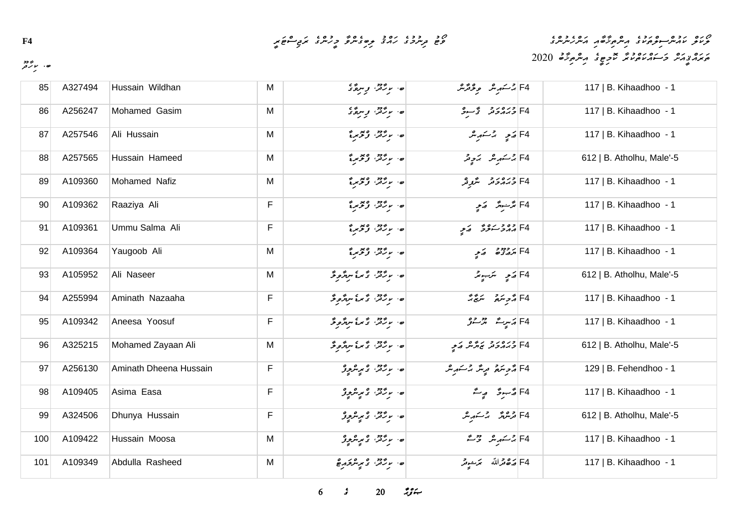*sCw7q7s5w7m< o<n9nOoAw7o< sCq;mAwBoEw7q<m; wBm;vB* م من المرة المرة المرة المرجع المرجع في المركبة 2020<br>مجم*د المريض المربوط المربع المرجع في المراجع المركبة* 

| 85  | A327494 | Hussain Wildhan        | M           | ه· برگزش و سرگانگی                      | F4 ئرسەر بىر بولۇش                              | 117   B. Kihaadhoo - 1    |
|-----|---------|------------------------|-------------|-----------------------------------------|-------------------------------------------------|---------------------------|
| 86  | A256247 | Mohamed Gasim          | M           | @ برگ <sup>وم</sup> ، وسرگومی           | F4 <i>35223</i> F4                              | 117   B. Kihaadhoo - 1    |
| 87  | A257546 | Ali Hussain            | M           | ه برنتر، وتوبر <u>ب</u> م               | F4 <i>ھَجِ بِرْڪوپنگ</i> ر                      | 117   B. Kihaadhoo - 1    |
| 88  | A257565 | Hussain Hameed         | M           | ە بارتۇ، ۋىزىرق                         | F4 پر کے مریکہ کے لیے قمر                       | 612   B. Atholhu, Male'-5 |
| 89  | A109360 | Mohamed Nafiz          | M           | مارسى مەسىر ئە                          | F4 وبرەر بور سگرى تىر                           | 117   B. Kihaadhoo - 1    |
| 90  | A109362 | Raaziya Ali            | $\mathsf F$ | ە بەر ئۆزە ئۆسىدۇ                       | F4 مُحرْسُومُرٌ صَعِي                           | 117   B. Kihaadhoo - 1    |
| 91  | A109361 | Ummu Salma Ali         | F           | ه بدر ده وسمرځ کو                       | F4 <i>جەج جوڭ ھې</i>                            | 117   B. Kihaadhoo - 1    |
| 92  | A109364 | Yaugoob Ali            | M           | ە بەرتە ئۆرگە                           | F4 انزونژہ کے ج                                 | 117   B. Kihaadhoo - 1    |
| 93  | A105952 | Ali Naseer             | M           | ە . بارتىر، ئايرقا ئىرىگرىمى ئىل        | F4 <i>ھو</i> س <i>رب و</i> م                    | 612   B. Atholhu, Male'-5 |
| 94  | A255994 | Aminath Nazaaha        | $\mathsf F$ | ە . بارتىر، ئ <sub>ە</sub> بار ئارتمونۇ | F4 مُجِسَعَ مَعَ يَمْ                           | 117   B. Kihaadhoo - 1    |
| 95  | A109342 | Aneesa Yoosuf          | $\mathsf F$ | ھ ، بارگز، گام کا سرگرونگر              | F4 كەسرىسى تەرجىتى تۈ                           | 117   B. Kihaadhoo - 1    |
| 96  | A325215 | Mohamed Zayaan Ali     | M           | ھ پر گرده کامریکو مرمرکو گر             | F4 در در در پروگر م <i>زم</i>                   | 612   B. Atholhu, Male'-5 |
| 97  | A256130 | Aminath Dheena Hussain | $\mathsf F$ | ه ، بارژو، دېرمربور                     | F4 مُرَحِ سَمَعُ ۖ مِرِسُّرٌ بِرُسَمَٰ مِرْسُرٌ | 129   B. Fehendhoo - 1    |
| 98  | A109405 | Asima Easa             | $\mathsf F$ | ه ، بارگر، د بر شرور                    | F4 ۾ُٻوَ <sub>مي</sub> گ                        | 117   B. Kihaadhoo - 1    |
| 99  | A324506 | Dhunya Hussain         | F           | ە . بارتۇ، ئابرىكرىزۇ                   | F4 قرشرنگ بر شهر ش                              | 612   B. Atholhu, Male'-5 |
| 100 | A109422 | Hussain Moosa          | M           | ە . بارتۇ، ئابرىترىرۇ                   | F4 پر سمبر میں میں ت                            | 117   B. Kihaadhoo - 1    |
| 101 | A109349 | Abdulla Rasheed        | M           | ە· بەرگەش كەمپەنكەرگەنغ                 | F4   مَدْهِ مَرْ اللّه مَرْ سُومْرٌ             | 117   B. Kihaadhoo - 1    |

 $6$   $\cancel{5}$   $20$   $\cancel{25}$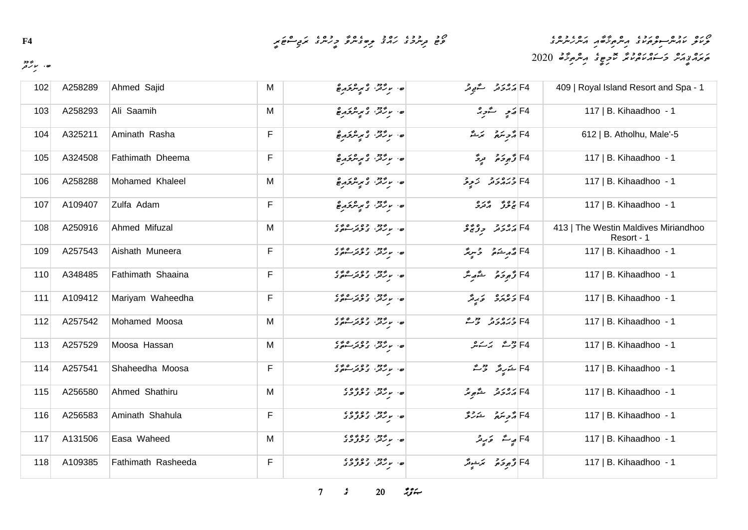*sCw7q7s5w7m< o<n9nOoAw7o< sCq;mAwBoEw7q<m; wBm;vB* م من المرة المرة المرة المرجع المرجع في المركبة 2020<br>مجم*د المريض المربوط المربع المرجع في المراجع المركبة* 

| 102 | A258289 | Ahmed Sajid        | M            | ھ ، بار در کام مر مرکز مرکز کے                     | F4 كەبرى بىر مەنىي تىر             | 409   Royal Island Resort and Spa - 1              |
|-----|---------|--------------------|--------------|----------------------------------------------------|------------------------------------|----------------------------------------------------|
| 103 | A258293 | Ali Saamih         | M            | ه . بارتر، و برن <i>گرد</i> ه                      | F4 <i>جَرِج</i> سُتَ <i>وِير</i> ُ | 117   B. Kihaadhoo - 1                             |
| 104 | A325211 | Aminath Rasha      | $\mathsf F$  | ه برگر و بر مرکز و ه                               | F4 أُمُّ جِسَعُو مَرَسُّمَّ        | 612   B. Atholhu, Male'-5                          |
| 105 | A324508 | Fathimath Dheema   | $\mathsf{F}$ | ه . بارتر، و بر مرکز م                             | F4 وَجِوحَة وَ مِرَّدً             | 117   B. Kihaadhoo - 1                             |
| 106 | A258288 | Mohamed Khaleel    | M            | ه و برتر، و بر مر <i>کز</i> ره                     | F4 <i>3222 ذَوِ</i> وْ             | 117   B. Kihaadhoo - 1                             |
| 107 | A109407 | Zulfa Adam         | $\mathsf{F}$ | ه و مرکز کام مرکز ده                               | F4 ج ثوث <sub>ر</sub> محمد شرور    | 117   B. Kihaadhoo - 1                             |
| 108 | A250916 | Ahmed Mifuzal      | M            | ه . بارود وه بر ۶۵ و.<br>ه . بارتر کانوتر جموی     | F4 <i>ג وجو جون</i> ځو             | 413   The Westin Maldives Miriandhoo<br>Resort - 1 |
| 109 | A257543 | Aishath Muneera    | F            | ه . بارگر، وه بر ه بو ،<br>ه . بارگر، و تولاسعوی   | F4 مُەمسَمۇ   دېرىمُر              | 117   B. Kihaadhoo - 1                             |
| 110 | A348485 | Fathimath Shaaina  | F            | ه . بارگان وه بر ۵۶۵<br>ه . بارگان و تولاسعوی      | F4 وَجِوحَة حَقَّ مِسَّر           | 117   B. Kihaadhoo - 1                             |
| 111 | A109412 | Mariyam Waheedha   | F            | ه . بارود وه بر ۵ و و د<br>ه . بارگر کالمرفور سعوی | F4 كەنگەنگە كەرلىگە                | 117   B. Kihaadhoo - 1                             |
| 112 | A257542 | Mohamed Moosa      | M            | ه . بارگان وه بر ه پوء<br>ه . بارگان و تولاسيني و  | F4 دېږدو د حق                      | 117   B. Kihaadhoo - 1                             |
| 113 | A257529 | Moosa Hassan       | M            | ه . برگر، وه بر ه و و<br>ه . برگر، و توګر سوو      | F4 جي پر <i>سک</i> ير              | 117   B. Kihaadhoo - 1                             |
| 114 | A257541 | Shaheedha Moosa    | F            | ه . بارود وه بر ۶۵ و.<br>ه . بارگر، و تولاسيني و   | F4 ڪريگر گرگ                       | 117   B. Kihaadhoo - 1                             |
| 115 | A256580 | Ahmed Shathiru     | M            | ه رسمن ده ده ده<br>ه رسمن                          | F4 <i>مردونز</i> گھج <i>و</i> نز   | 117   B. Kihaadhoo - 1                             |
| 116 | A256583 | Aminath Shahula    | F            | ه برگر ده وه وه<br>ه برگر د گروه د                 | F4 مُجِسَمٌ شَرْكَةٌ               | 117   B. Kihaadhoo - 1                             |
| 117 | A131506 | Easa Waheed        | M            |                                                    | F4 <sub>جو</sub> ت تحریقر          | 117   B. Kihaadhoo - 1                             |
| 118 | A109385 | Fathimath Rasheeda | $\mathsf F$  | ه . بارته . وه پوه ،<br>ه . بارته . د توتو تر د    | F4 وَجوحَة مَ مَرْسُومَّرَ         | 117   B. Kihaadhoo - 1                             |

*7 sC 20 nNw?mS*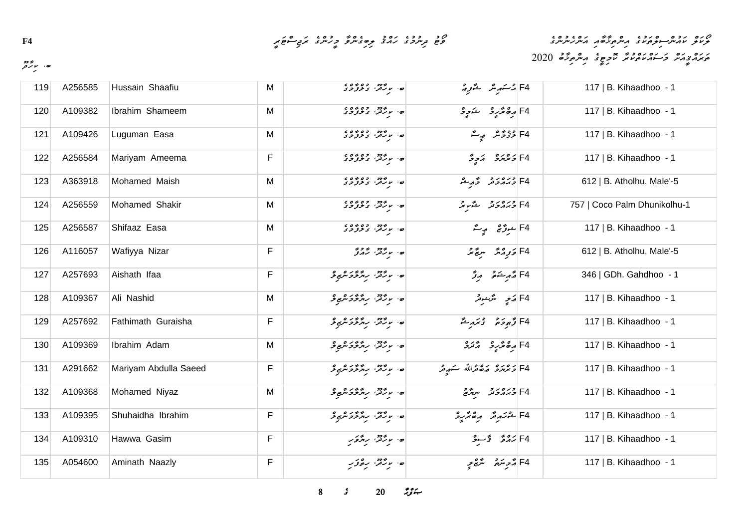*sCw7q7s5w7m< o<n9nOoAw7o< sCq;mAwBoEw7q<m; wBm;vB* م من المرة المرة المرة المرجع المرجع في المركبة 2020<br>مجم*د المريض المربوط المربع المرجع في المراجع المركبة* 

| 119 | A256585 | Hussain Shaafiu       | M           | ۱۵۴۵۶ مرکز وه ده ده<br>  ۱۵۰ مرکز کرونو ور                                                                                                                                                                                                                                                                          | F4 پُرڪوپس ڪُوپر                                   | 117   B. Kihaadhoo - 1       |
|-----|---------|-----------------------|-------------|---------------------------------------------------------------------------------------------------------------------------------------------------------------------------------------------------------------------------------------------------------------------------------------------------------------------|----------------------------------------------------|------------------------------|
| 120 | A109382 | Ibrahim Shameem       | M           | ه برگر وه وه وه<br>مرگر د گرون                                                                                                                                                                                                                                                                                      | F4 <sub>م</sub> ەمگرى <sup>5</sup> شەرە            | 117   B. Kihaadhoo - 1       |
| 121 | A109426 | Luguman Easa          | M           | صرح سرچ وي ده ده ده م<br>  جزء سرگ سرگر وي در حدود در حد                                                                                                                                                                                                                                                            | F4 جۇڭگىز ب <sub>و</sub> گ                         | 117   B. Kihaadhoo - 1       |
| 122 | A256584 | Mariyam Ameema        | $\mathsf F$ |                                                                                                                                                                                                                                                                                                                     | F4 دېمبر <i>ی ک</i> ېږگ                            | 117   B. Kihaadhoo - 1       |
| 123 | A363918 | Mohamed Maish         | M           | $\frac{1}{2}$ $\frac{1}{2}$ $\frac{1}{2}$ $\frac{1}{2}$ $\frac{1}{2}$ $\frac{1}{2}$ $\frac{1}{2}$ $\frac{1}{2}$ $\frac{1}{2}$ $\frac{1}{2}$ $\frac{1}{2}$ $\frac{1}{2}$ $\frac{1}{2}$ $\frac{1}{2}$ $\frac{1}{2}$ $\frac{1}{2}$ $\frac{1}{2}$ $\frac{1}{2}$ $\frac{1}{2}$ $\frac{1}{2}$ $\frac{1}{2}$ $\frac{1}{2}$ | F4 دېرونو وه شه                                    | 612   B. Atholhu, Male'-5    |
| 124 | A256559 | Mohamed Shakir        | M           | ه رسمن ده ده ده<br>ه رسمن                                                                                                                                                                                                                                                                                           | F4 <i>وَبَهُ وَبَوْ</i> سُنَّمِ بِرَ               | 757   Coco Palm Dhunikolhu-1 |
| 125 | A256587 | Shifaaz Easa          | M           | ه برگر ده وه وه<br>مرگر د گرون                                                                                                                                                                                                                                                                                      | F4  شو <i>رٌ ج</i> ۾ سِمَّۃ                        | 117   B. Kihaadhoo - 1       |
| 126 | A116057 | Wafiyya Nizar         | $\mathsf F$ | ە بارتىق رومۇ                                                                                                                                                                                                                                                                                                       | F4 <i>قۇم</i> گە سىنى ئىر                          | 612   B. Atholhu, Male'-5    |
| 127 | A257693 | Aishath Ifaa          | F           | ە . بەرتر، رەزۇر مى <sub>م</sub> و                                                                                                                                                                                                                                                                                  | F4 مُصِينَة مِرَّ                                  | 346   GDh. Gahdhoo - 1       |
| 128 | A109367 | Ali Nashid            | M           | ە ، بەرتىر، رېزىۋە ئىرىمى ئى                                                                                                                                                                                                                                                                                        | F4 كەمچە سگرىنى <sub>ي</sub> ەتر                   | 117   B. Kihaadhoo - 1       |
| 129 | A257692 | Fathimath Guraisha    | $\mathsf F$ | ە ، بەرتىر، رېزىۋە ئىرىمى ئى                                                                                                                                                                                                                                                                                        | F4 زَّەپرىدە تۆتىرىدىشە                            | 117   B. Kihaadhoo - 1       |
| 130 | A109369 | Ibrahim Adam          | M           | ە ، بەرتىر، رېزىۋە شەيھ                                                                                                                                                                                                                                                                                             | F4 م <i>ِرْهُ مُّرِدُ</i> مُ <i>مَّرَدُ</i>        | 117   B. Kihaadhoo - 1       |
| 131 | A291662 | Mariyam Abdulla Saeed | $\mathsf F$ | @   بارگىلى بەرگە كەن كىلى كىلى                                                                                                                                                                                                                                                                                     | F4 <i>5 بح<del>مد كرة م</del>حدة و</i> لله سكور مر | 117   B. Kihaadhoo - 1       |
| 132 | A109368 | Mohamed Niyaz         | M           | ە ، بەرتىر، رېزىۋە شەيھ                                                                                                                                                                                                                                                                                             | F4 دره د د سرگړي                                   | 117   B. Kihaadhoo - 1       |
| 133 | A109395 | Shuhaidha Ibrahim     | $\mathsf F$ | ە بەرتىر، رېزىۋە ئىرىمى ئى                                                                                                                                                                                                                                                                                          | F4 شە <i>رەرىگە مەھەرد</i> ۇ                       | 117   B. Kihaadhoo - 1       |
| 134 | A109310 | Hawwa Gasim           | $\mathsf F$ | ە ، بەرتى رېزۇر                                                                                                                                                                                                                                                                                                     | $3 - 3 - 2 - 5$                                    | 117   B. Kihaadhoo - 1       |
| 135 | A054600 | Aminath Naazly        | F           | ە بىر ئەترىسى ئەرىپ                                                                                                                                                                                                                                                                                                 | F4 مُحرِسَمُ مُسَمَّعٍ                             | 117   B. Kihaadhoo - 1       |

**8** *s* **20** *z s*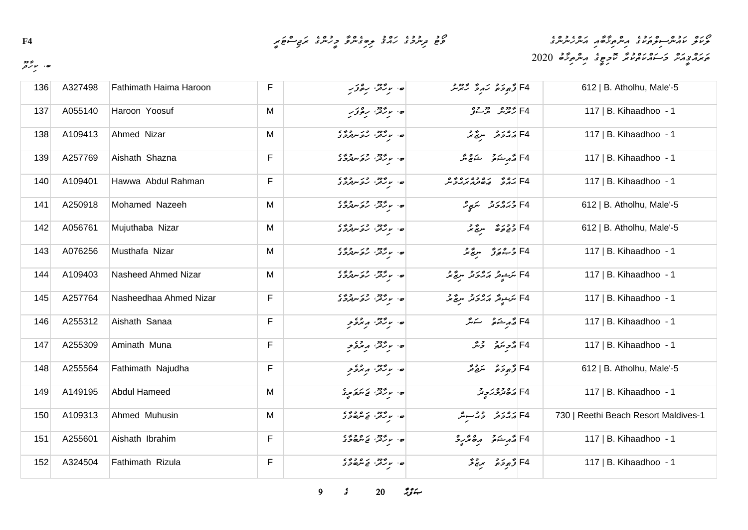*sCw7q7s5w7m< o<n9nOoAw7o< sCq;mAwBoEw7q<m; wBm;vB* م من المرة المرة المرة المرجع المرجع في المركبة 2020<br>مجم*د المريض المربوط المربع المرجع في المراجع المركبة* 

| 136 | A327498 | Fathimath Haima Haroon | $\mathsf{F}$ | ە بىر ئەترىسى ئەرىپ                                  | F4 وَجوحَةٌ رَبِّرةٌ رَّجْرَ مَنْ                   | 612   B. Atholhu, Male'-5            |
|-----|---------|------------------------|--------------|------------------------------------------------------|-----------------------------------------------------|--------------------------------------|
| 137 | A055140 | Haroon Yoosuf          | M            | ە بىر ئەتتى سەۋىر                                    |                                                     | 117   B. Kihaadhoo - 1               |
| 138 | A109413 | Ahmed Nizar            | M            | ے کو دوسر دی۔<br>اس کو دی کو س                       | F4 <i>مَدْدَوَنْتُ</i> سِيِّ مِرْ                   | 117   B. Kihaadhoo - 1               |
| 139 | A257769 | Aishath Shazna         | F            | ے کو دوسر دی۔<br>اس کوری کو سرفرون                   | F4 م <i>ەم ئىشمۇ</i> شىر <i>ى مە</i>                | 117   B. Kihaadhoo - 1               |
| 140 | A109401 | Hawwa Abdul Rahman     | $\mathsf F$  | ه . رود و .<br>اه . رود . روس دو .                   | F4 برونو بروووبرونور                                | 117   B. Kihaadhoo - 1               |
| 141 | A250918 | Mohamed Nazeeh         | M            | ه بارود وړه وي                                       | F4 \$ <i>\$ \$ \$ \$ \$ \$</i>                      | 612   B. Atholhu, Male'-5            |
| 142 | A056761 | Mujuthaba Nizar        | M            | ه۰ بارته ورسوده<br>۲۰ بارته روس در                   | F4 حق حق سرچ مر                                     | 612   B. Atholhu, Male'-5            |
| 143 | A076256 | Musthafa Nizar         | M            | ه رقص ورمود                                          | F4 ترجور مرتج تر                                    | 117   B. Kihaadhoo - 1               |
| 144 | A109403 | Nasheed Ahmed Nizar    | M            | ه بارود ورسوده                                       | F4 سَرَشِينَ <sub>م</sub> َرْكَرَ مَرْ سِرِيَّ مَرْ | 117   B. Kihaadhoo - 1               |
| 145 | A257764 | Nasheedhaa Ahmed Nizar | F            | ه باردو وړه وه                                       | F4 سَرَسْوِنْدَ 1952 سِرْجٌ بْر                     | 117   B. Kihaadhoo - 1               |
| 146 | A255312 | Aishath Sanaa          | $\mathsf F$  | ه ، بارتین مانده و                                   | F4 م <i>ەمبەققى</i> سەم <i>ىگە</i>                  | 117   B. Kihaadhoo - 1               |
| 147 | A255309 | Aminath Muna           | $\mathsf F$  | ه ، بارتش و بره مو                                   | F4 مُجِسَعُ حَسَّ                                   | 117   B. Kihaadhoo - 1               |
| 148 | A255564 | Fathimath Najudha      | $\mathsf F$  | ه ، بارگذر، مانده مو                                 | F4 وَجِعَةٍ حَمَّةٍ مَدَّةٍ مَدَّ                   | 612   B. Atholhu, Male'-5            |
| 149 | A149195 | <b>Abdul Hameed</b>    | M            | ھ بار دو.<br>جا بار در، تج سرچ مربی                  | F4   پَرڻ <i>قرقربر ۾ پڙ</i>                        | 117   B. Kihaadhoo - 1               |
| 150 | A109313 | Ahmed Muhusin          | M            | ے مرکز کے مرحوم کا دیا ہے ۔<br>اللہ مارکز کے مرحوم ک | F4 كەبرو بولى تەرىپىس                               | 730   Reethi Beach Resort Maldives-1 |
| 151 | A255601 | Aishath Ibrahim        | F            | ه بارد ده ده                                         | F4 مُمبِّسَمَ مِهْتَرِدْ                            | 117   B. Kihaadhoo - 1               |
| 152 | A324504 | Fathimath Rizula       | F            | ے کے مرکز کے مرکز دی۔<br>اس کر مرکز کے مرکز دی       | F4 ر <i>ُجودَهُ</i> بِرِجْدً                        | 117   B. Kihaadhoo - 1               |

*9 sC 20 nNw?mS*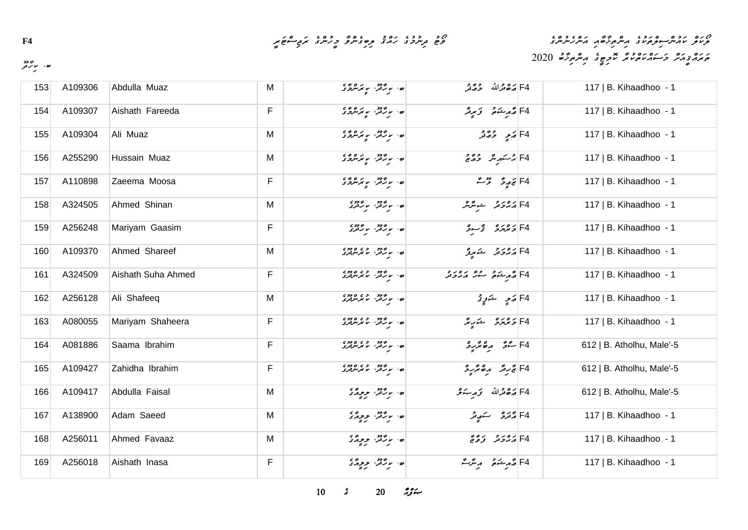*sCw7q7s5w7m< o<n9nOoAw7o< sCq;mAwBoEw7q<m; wBm;vB* م من المرة المرة المرة المرجع المرجع في المركبة 2020<br>مجم*د المريض المربوط المربع المرجع في المراجع المركبة* 

| 153 | A109306 | Abdulla Muaz       | M           | ه· بارتو، بابر مرد و »                         | F4 مَرْحَمْرَاللَّهُ وَمَرْمَر                                                                                          | 117   B. Kihaadhoo - 1    |
|-----|---------|--------------------|-------------|------------------------------------------------|-------------------------------------------------------------------------------------------------------------------------|---------------------------|
| 154 | A109307 | Aishath Fareeda    | F           | ه· بارتو، بابر مرد و »                         | F4 مُدمِسْدَة وَمِرِمَّر                                                                                                | 117   B. Kihaadhoo - 1    |
| 155 | A109304 | Ali Muaz           | M           | ه . بارتو، بابر باره د                         | F4 <i>جَمْعِي حَمَّةُ وَ</i>                                                                                            | 117   B. Kihaadhoo - 1    |
| 156 | A255290 | Hussain Muaz       | M           | ه ، بارته بایر مرده                            | F4 بر شهر شهر حصیح                                                                                                      | 117   B. Kihaadhoo - 1    |
| 157 | A110898 | Zaeema Moosa       | $\mathsf F$ | ه . بارته با بر مرد و .                        | $23$ $5\%$ F4                                                                                                           | 117   B. Kihaadhoo - 1    |
| 158 | A324505 | Ahmed Shinan       | M           | ه۰ بورود بورود و                               | F4 <i>225 هي شومگريگر</i>                                                                                               | 117   B. Kihaadhoo - 1    |
| 159 | A256248 | Mariyam Gaasim     | F           | ه۰ برگرد برگردی<br>۰۰ برگش برگردی              | F4 كى <i>مەندى تى</i> سەر                                                                                               | 117   B. Kihaadhoo - 1    |
| 160 | A109370 | Ahmed Shareef      | M           | ه برگرد و ۲۵۵۰۰<br>۱۵ برگر برگرس               | F4 كەش <sup>ى</sup> تەكەنتى قىلىنى ئىشتىر ئىشتىر ئىشتى ئىشتى ئىشتا ئىشتى ئىشتى ئىشتى ئىشتى ئىشتى ئىشتى ئىشتى ئىشتى ئىشت | 117   B. Kihaadhoo - 1    |
| 161 | A324509 | Aishath Suha Ahmed | F           | ه . بارود و ، ه و د ،<br>ه . بارتو، با بوسربور | F4 مەم ئىسىم ھەر ئەرەر د                                                                                                | 117   B. Kihaadhoo - 1    |
| 162 | A256128 | Ali Shafeeq        | M           | ه رسمه و ده دوه<br>ه رسمه رسمبرس               | F4 <i>۾َ جِ</i> شَمَرِ تَرُ                                                                                             | 117   B. Kihaadhoo - 1    |
| 163 | A080055 | Mariyam Shaheera   | $\mathsf F$ | ه رود ده ده.<br>ه رگز                          | F4 وَيَرْدَرُوْ شَرِيْرٌ                                                                                                | 117   B. Kihaadhoo - 1    |
| 164 | A081886 | Saama Ibrahim      | F           | ه . بارگان ده ده ده<br>ه . بارگان با برسرگری   | F4 جَرَّ م <i>ِ مَعْرُبِ</i> حَ                                                                                         | 612   B. Atholhu, Male'-5 |
| 165 | A109427 | Zahidha Ibrahim    | F           | ه رسمان ده وره ورون<br>د رسمان رسمان در در     | F4 تج برقد م <i>ن تج</i> بر مح                                                                                          | 612   B. Atholhu, Male'-5 |
| 166 | A109417 | Abdulla Faisal     | M           | ه رنگر و در د                                  | F4 كەھەرللە ق <i>ەربى</i> گە                                                                                            | 612   B. Atholhu, Male'-5 |
| 167 | A138900 | Adam Saeed         | M           | ه برگتر، و در م                                | F4 جُمْعَرْ سَمَ <i>وِ</i> مْر                                                                                          | 117   B. Kihaadhoo - 1    |
| 168 | A256011 | Ahmed Favaaz       | M           | ه ، پارژه ووړی                                 | F4 كەندى ئەرمە                                                                                                          | 117   B. Kihaadhoo - 1    |
| 169 | A256018 | Aishath Inasa      | F           | ه ، پارته ووړي                                 | F4 مەمرىشىق بەيتىرىشە                                                                                                   | 117   B. Kihaadhoo - 1    |

 $10$  *s*  $20$  *n***<sub>s</sub>** $\infty$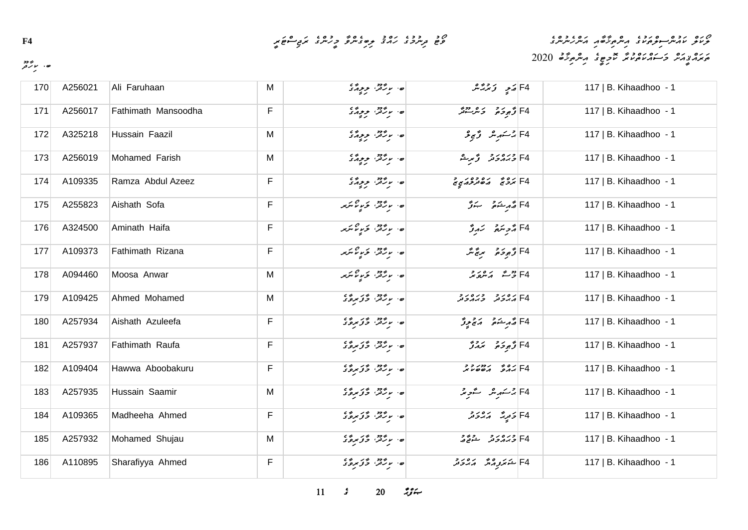*sCw7q7s5w7m< o<n9nOoAw7o< sCq;mAwBoEw7q<m; wBm;vB* م من المرة المرة المرة المرجع المرجع في المركبة 2020<br>مجم*د المريض المربوط المربع المرجع في المراجع المركبة* 

| 170 | A256021 | Ali Faruhaan        | M           | ه ، پارته ووړي                                                                                        | F4 <i>جَجِ وَيَرْتَ</i> سُ            | 117   B. Kihaadhoo - 1 |
|-----|---------|---------------------|-------------|-------------------------------------------------------------------------------------------------------|---------------------------------------|------------------------|
| 171 | A256017 | Fathimath Mansoodha | F           | ه رنگی و دره                                                                                          | F4 ژ <sub>نجو</sub> رَیْ دَیْرْمِیْشَ | 117   B. Kihaadhoo - 1 |
| 172 | A325218 | Hussain Faazil      | M           | ه رنگی و دره                                                                                          | F4 پرکسمبر و گرم تو                   | 117   B. Kihaadhoo - 1 |
| 173 | A256019 | Mohamed Farish      | M           | ه رنگی و دره                                                                                          | F4 وَيَرْدُونَرْ وَيَرِثْ             | 117   B. Kihaadhoo - 1 |
| 174 | A109335 | Ramza Abdul Azeez   | F           | ه رنگی و درو                                                                                          | F4 ترویج مص <i>فردمی</i> ج            | 117   B. Kihaadhoo - 1 |
| 175 | A255823 | Aishath Sofa        | $\mathsf F$ | ە ، بەرگەن ئۇيونكىتىلىر                                                                               | F4 مُصِنْعَة جَوَّرَ                  | 117   B. Kihaadhoo - 1 |
| 176 | A324500 | Aminath Haifa       | $\mathsf F$ | ھ ، بار دو گھرين ملابله عليه جي الله جي بار بلابله عليه جي الله جي الله جي الله عليه الله عليه الله ا | F4 مُتَّحِسَمُ مَدِيَّ                | 117   B. Kihaadhoo - 1 |
| 177 | A109373 | Fathimath Rizana    | F           | ە ، بەرگەن ئۇيدىكەتلىر                                                                                | F4 زَّەپرىقى ئىرتى ئىر                | 117   B. Kihaadhoo - 1 |
| 178 | A094460 | Moosa Anwar         | M           | ھ ، بار دو گھرين ملابله عليه جي الله جي بار بلابله عليه جي الله جي الله جي الله عليه الله عليه الله ا | F4 2 يومبر مريد بر                    | 117   B. Kihaadhoo - 1 |
| 179 | A109425 | Ahmed Mohamed       | M           | ه ، پارتمر، وګو پروی                                                                                  | F4 ג׳כ <i>בג ברי</i>                  | 117   B. Kihaadhoo - 1 |
| 180 | A257934 | Aishath Azuleefa    | $\mathsf F$ | ە ، بارتى، ئۇ ئويرۇ ئ                                                                                 | F4 مَّ مِ شَمَّع مَ تَمْ مِ مِّرْ     | 117   B. Kihaadhoo - 1 |
| 181 | A257937 | Fathimath Raufa     | F           | ه ، بارته د و برود                                                                                    | F4 وَجِعَةٍ مَهْدَوٌ                  | 117   B. Kihaadhoo - 1 |
| 182 | A109404 | Hawwa Aboobakuru    | F           |                                                                                                       |                                       | 117   B. Kihaadhoo - 1 |
| 183 | A257935 | Hussain Saamir      | M           | ه بارده ورود                                                                                          | F4 پُرڪوپر هندي ڪوپر                  | 117   B. Kihaadhoo - 1 |
| 184 | A109365 | Madheeha Ahmed      | F           | ه ، پارتز، د و برود                                                                                   | F4   دَمِيدٌ   دَيْرَوَتْرُ           | 117   B. Kihaadhoo - 1 |
| 185 | A257932 | Mohamed Shujau      | M           | ە ، بارتى، ئۇ ئويرۇ ئ                                                                                 | F4 ورەر د دەرد                        | 117   B. Kihaadhoo - 1 |
| 186 | A110895 | Sharafiyya Ahmed    | F           | صريح المردوج على المركزي كانت المركزي                                                                 | F4 ش <i>ەتتۇرمى مەدە</i> تتە          | 117   B. Kihaadhoo - 1 |

 $11$  *s* 20 *if*<sub>s</sub>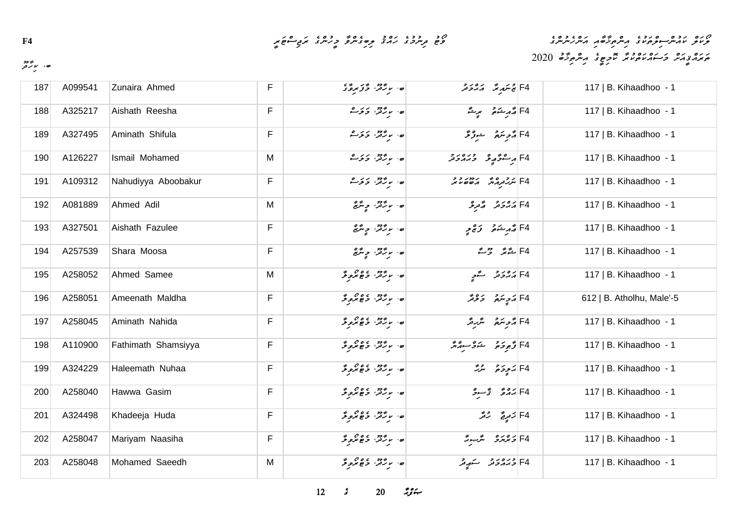*sCw7q7s5w7m< o<n9nOoAw7o< sCq;mAwBoEw7q<m; wBm;vB* م من المرة المرة المرة المرجع المرجع في المركبة 2020<br>مجم*د المريض المربوط المربع المرجع في المراجع المركبة* 

| 187 | A099541 | Zunaira Ahmed       | $\mathsf F$ | ە ، بەرتە ئۇكەبرى                                                                                                                                                                                                                                                                                                            | F4 يخ <i>سَمدِ بَرَّ مَدُونَد</i> ِ   | 117   B. Kihaadhoo - 1    |
|-----|---------|---------------------|-------------|------------------------------------------------------------------------------------------------------------------------------------------------------------------------------------------------------------------------------------------------------------------------------------------------------------------------------|---------------------------------------|---------------------------|
| 188 | A325217 | Aishath Reesha      | $\mathsf F$ | ە ، بەرتىر، ئەنزىك                                                                                                                                                                                                                                                                                                           | F4 صَّمِرِ شَمَعُ مَ سِتَّةً          | 117   B. Kihaadhoo - 1    |
| 189 | A327495 | Aminath Shifula     | $\mathsf F$ | ە بەر ئۆز، ئەبۇر ھ                                                                                                                                                                                                                                                                                                           | F4 مُرْحِسَمُ شِوْرٌ مُحَ             | 117   B. Kihaadhoo - 1    |
| 190 | A126227 | Ismail Mohamed      | M           | ە بەر ئۆز ئەبەر ئە                                                                                                                                                                                                                                                                                                           | F4 مِـــْمَرَّمِهِ عَــَ مِرَهْ مَرَّ | 117   B. Kihaadhoo - 1    |
| 191 | A109312 | Nahudiyya Aboobakur | $\mathsf F$ | ھ. س <i>گري جو چي</i>                                                                                                                                                                                                                                                                                                        | F4 سرگرمرمگر مقصومتر                  | 117   B. Kihaadhoo - 1    |
| 192 | A081889 | Ahmed Adil          | M           | ه پر برگټر، چرمنځ                                                                                                                                                                                                                                                                                                            | F4 <i>جُهُدُو بُلَّا جُ</i> مِيو      | 117   B. Kihaadhoo - 1    |
| 193 | A327501 | Aishath Fazulee     | F           | ە بىر ئۆز، جەنئى                                                                                                                                                                                                                                                                                                             | F4 صَمِي شَمَعَ وَيَحْ مِي بِ         | 117   B. Kihaadhoo - 1    |
| 194 | A257539 | Shara Moosa         | $\mathsf F$ | ھ بار دی چاہی                                                                                                                                                                                                                                                                                                                | $23$ $22$ F4                          | 117   B. Kihaadhoo - 1    |
| 195 | A258052 | Ahmed Samee         | M           | $\begin{array}{cc} 0 & 0 & 0 & 0 & 0 \\ 0 & 0 & 0 & 0 & 0 \\ 0 & 0 & 0 & 0 & 0 \\ 0 & 0 & 0 & 0 & 0 \\ 0 & 0 & 0 & 0 & 0 \\ 0 & 0 & 0 & 0 & 0 \\ 0 & 0 & 0 & 0 & 0 \\ 0 & 0 & 0 & 0 & 0 \\ 0 & 0 & 0 & 0 & 0 \\ 0 & 0 & 0 & 0 & 0 \\ 0 & 0 & 0 & 0 & 0 \\ 0 & 0 & 0 & 0 & 0 & 0 \\ 0 & 0 & 0 & 0 & 0 & 0 \\ 0 & 0 & 0 & 0 &$ | F4 <i>ډېر دی سگ</i> و <sub>نې</sub>   | 117   B. Kihaadhoo - 1    |
| 196 | A258051 | Ameenath Maldha     | F           | ۰۰ برگر، وگورونگر                                                                                                                                                                                                                                                                                                            | F4 أ <i>وَجِسَمْ وَوْمَّ</i> رُ       | 612   B. Atholhu, Male'-5 |
| 197 | A258045 | Aminath Nahida      | $\mathsf F$ | ه برگرد و ۵۵۷ و.                                                                                                                                                                                                                                                                                                             | F4 مُجْرِسَمْ مِنْ سَرْرِمَّدُ        | 117   B. Kihaadhoo - 1    |
| 198 | A110900 | Fathimath Shamsiyya | F           | ه برتر، وه یوهٔ                                                                                                                                                                                                                                                                                                              | F4 <i>وَّجِعَة حَذَّوْ بِهِمْ</i> دَّ | 117   B. Kihaadhoo - 1    |
| 199 | A324229 | Haleemath Nuhaa     | F           |                                                                                                                                                                                                                                                                                                                              | F4 بربرة مرتز                         | 117   B. Kihaadhoo - 1    |
| 200 | A258040 | Hawwa Gasim         | F           | ه برگر دوم وه                                                                                                                                                                                                                                                                                                                | $3 - 3$ $3 - 2$ $5 - 1$               | 117   B. Kihaadhoo - 1    |
| 201 | A324498 | Khadeeja Huda       | $\mathsf F$ | ه ، پارگز، وی پروگر                                                                                                                                                                                                                                                                                                          | F4 زَمرِيحٌ     رُمَّرٌ               | 117   B. Kihaadhoo - 1    |
| 202 | A258047 | Mariyam Naasiha     | F           | ه ، بارگر، وه عمومٌ                                                                                                                                                                                                                                                                                                          | F4 وَيُرْمَرُوْ مُرْسِدَّرٌ           | 117   B. Kihaadhoo - 1    |
| 203 | A258048 | Mohamed Saeedh      | M           | ە· بەرتىر، ئەھ ترە ئى                                                                                                                                                                                                                                                                                                        | F4 <i>3222 كەي</i> تر                 | 117   B. Kihaadhoo - 1    |

 $12$  *s*  $20$  *i*<sub>s</sub> $\approx$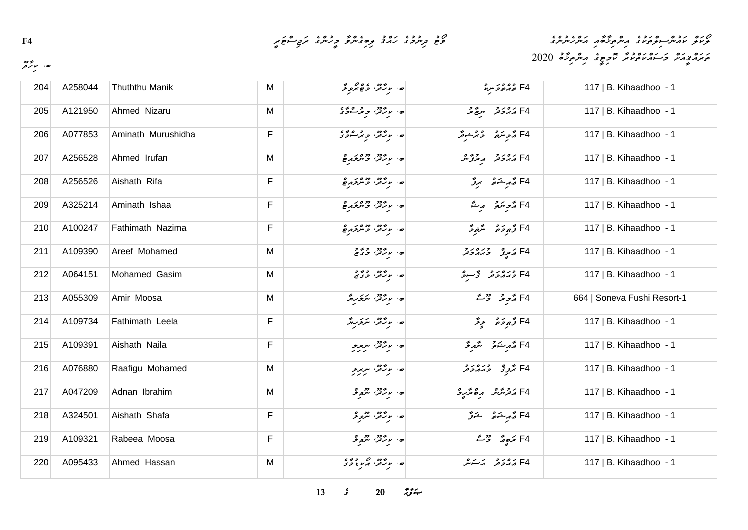*sCw7q7s5w7m< o<n9nOoAw7o< sCq;mAwBoEw7q<m; wBm;vB* م من المرة المرة المرة المرجع المرجع في المركبة 2020<br>مجم*د المريض المربوط المربع المرجع في المراجع المركبة* 

| 204 | A258044 | <b>Thuththu Manik</b> | M            |                             | F4 ۾ ۾ جو حريبر                           | 117   B. Kihaadhoo - 1      |
|-----|---------|-----------------------|--------------|-----------------------------|-------------------------------------------|-----------------------------|
| 205 | A121950 | Ahmed Nizaru          | M            | ه ، بارتو، و بوسوی          | F4 <i>مَدْوَمْنَ سِيُّ مِ</i> ّ           | 117   B. Kihaadhoo - 1      |
| 206 | A077853 | Aminath Murushidha    | $\mathsf F$  | ه رود و دره د               | F4 أَمَّ <i>حِينَ مَعْ حَمَّدْ حَوْمَ</i> | 117   B. Kihaadhoo - 1      |
| 207 | A256528 | Ahmed Irufan          | M            | ه باردو دوره<br>مسرد وسردره | F4 <i>ה</i> כפית ה <i>برق م</i> ر         | 117   B. Kihaadhoo - 1      |
| 208 | A256526 | Aishath Rifa          | $\mathsf{F}$ | ه روزه دور و                | F4 مُدمِشَمُ مِرَّزٌ                      | 117   B. Kihaadhoo - 1      |
| 209 | A325214 | Aminath Ishaa         | $\mathsf{F}$ | ھ بار دون دور دھ            | F4 مُجِسَعُ مِثْتُهُ                      | 117   B. Kihaadhoo - 1      |
| 210 | A100247 | Fathimath Nazima      | F            | ھ بار دون دور دھ            | F4 وَجِوَدَةٌ سَمْدِدَّ                   | 117   B. Kihaadhoo - 1      |
| 211 | A109390 | Areef Mohamed         | M            | ه۰ برگش وی و                | F4 كەيرۇ ئ <i>ۇنەۋەت</i> ر                | 117   B. Kihaadhoo - 1      |
| 212 | A064151 | Mohamed Gasim         | M            | ے ، سرگر وی ج               | F4 <i>35223</i> F4                        | 117   B. Kihaadhoo - 1      |
| 213 | A055309 | Amir Moosa            | M            | ە بەر ئۆز، ئىرى ئەر         | $23$ $25$ $5$ $5$ $74$                    | 664   Soneva Fushi Resort-1 |
| 214 | A109734 | Fathimath Leela       | $\mathsf{F}$ | ھ ، بار دو سرگر مر          | F4 وَج <i>ودَة</i> مِعَ                   | 117   B. Kihaadhoo - 1      |
| 215 | A109391 | Aishath Naila         | F            | ه ، برگټر، سربربو           | F4 مُدِيسَة مُدِيَّة                      | 117   B. Kihaadhoo - 1      |
| 216 | A076880 | Raafigu Mohamed       | M            | ه . رو دو.<br>ا             | F4 تُرُوِءٌ وَبَرَمُ وَمَرْ               | 117   B. Kihaadhoo - 1      |
| 217 | A047209 | Adnan Ibrahim         | M            | ھ بار دی شہر ک              | F4   مەمرىئرىتر   مەھەمگەرى<br>  F4       | 117   B. Kihaadhoo - 1      |
| 218 | A324501 | Aishath Shafa         | $\mathsf{F}$ | ه بورتو، مورد و             | F4 مُرمِسْمَ صُوَّرٌ                      | 117   B. Kihaadhoo - 1      |
| 219 | A109321 | Rabeea Moosa          | $\mathsf F$  | ھ بار دی شہر ک              | $23$ $20\sqrt{5}$ F4                      | 117   B. Kihaadhoo - 1      |
| 220 | A095433 | Ahmed Hassan          | M            | ه ، بارتو، چې ده ،          | F4 كەبروتىر كەشكەنلىر                     | 117   B. Kihaadhoo - 1      |

 $13$  *s*  $20$  *n***<sub>s</sub>** $\frac{2}{3}$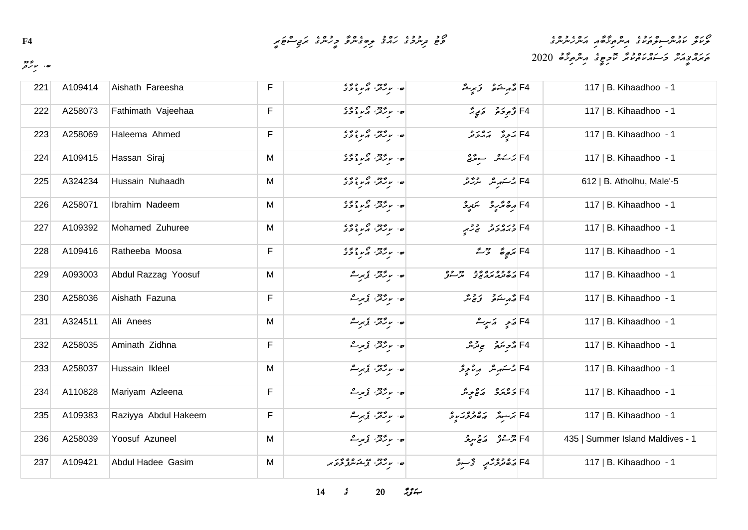*sCw7q7s5w7m< o<n9nOoAw7o< sCq;mAwBoEw7q<m; wBm;vB* م من المرة المرة المرة المرجع المرجع في المركبة 2020<br>مجم*د المريض المربوط المربع المرجع في المراجع المركبة* 

| 221 | A109414 | Aishath Fareesha     | $\mathsf F$ | ۰۰ روزه می دود و                                                                                                                                                                                                                                                                                                          | F4 صُرِحْتُمْ وَمَرِحَّةً                      | 117   B. Kihaadhoo - 1           |
|-----|---------|----------------------|-------------|---------------------------------------------------------------------------------------------------------------------------------------------------------------------------------------------------------------------------------------------------------------------------------------------------------------------------|------------------------------------------------|----------------------------------|
| 222 | A258073 | Fathimath Vajeehaa   | F           | ه بارته کاروه                                                                                                                                                                                                                                                                                                             | F4 و <i>ڳوڪو وَي</i>                           | 117   B. Kihaadhoo - 1           |
| 223 | A258069 | Haleema Ahmed        | F           | $\begin{pmatrix} 1 & 0 & 0 & 0 & 0 & 0 \\ 0 & 0 & 0 & 0 & 0 & 0 \\ 0 & 0 & 0 & 0 & 0 & 0 \\ 0 & 0 & 0 & 0 & 0 & 0 \\ 0 & 0 & 0 & 0 & 0 & 0 \\ 0 & 0 & 0 & 0 & 0 & 0 \\ 0 & 0 & 0 & 0 & 0 & 0 \\ 0 & 0 & 0 & 0 & 0 & 0 \\ 0 & 0 & 0 & 0 & 0 & 0 \\ 0 & 0 & 0 & 0 & 0 & 0 & 0 \\ 0 & 0 & 0 & 0 & 0 & 0 & 0 \\ 0 & 0 & 0 & $ | F4 كيووً كەردۇر                                | 117   B. Kihaadhoo - 1           |
| 224 | A109415 | Hassan Siraj         | M           | 55222.                                                                                                                                                                                                                                                                                                                    | F4   پرسته شهر سو پر قیح                       | 117   B. Kihaadhoo - 1           |
| 225 | A324234 | Hussain Nuhaadh      | M           | 5524, 5524                                                                                                                                                                                                                                                                                                                | F4 پر کے مریکہ میر شریکہ                       | 612   B. Atholhu, Male'-5        |
| 226 | A258071 | Ibrahim Nadeem       | M           | ه ، بارته ، دبا وه ،<br>ه ، بارته ، دبا و در                                                                                                                                                                                                                                                                              | F4 <sub>مر</sub> ھ <i>مُرْرِ</i> وْ سَمَبِرِوْ | 117   B. Kihaadhoo - 1           |
| 227 | A109392 | Mohamed Zuhuree      | M           | ه ، بارته ، دبا وه ،<br>ه ، بارته ، دبا و در                                                                                                                                                                                                                                                                              | F4 <i>\$22.25 ج3ي</i> ر                        | 117   B. Kihaadhoo - 1           |
| 228 | A109416 | Ratheeba Moosa       | $\mathsf F$ | 5524, 5524                                                                                                                                                                                                                                                                                                                | $23$ $\approx$ $5\sqrt{5}$ F4                  | 117   B. Kihaadhoo - 1           |
| 229 | A093003 | Abdul Razzag Yoosuf  | M           | ھ ، بار جي عجي سا                                                                                                                                                                                                                                                                                                         | F4 בסתפרים ברכם                                | 117   B. Kihaadhoo - 1           |
| 230 | A258036 | Aishath Fazuna       | F           | ە بەر ئۇزا ئۇيرىش                                                                                                                                                                                                                                                                                                         | F4 مەم ئىسىم ئىس ئىقى                          | 117   B. Kihaadhoo - 1           |
| 231 | A324511 | Ali Anees            | M           | ھ ، پارچين کو برگ                                                                                                                                                                                                                                                                                                         | F4 کھ پو مقبر پر                               | 117   B. Kihaadhoo - 1           |
| 232 | A258035 | Aminath Zidhna       | $\mathsf F$ | ە بەر ئۇن ئۇيرىش                                                                                                                                                                                                                                                                                                          | F4 مُرْحِسَمُ بِمِمْتُر                        | 117   B. Kihaadhoo - 1           |
| 233 | A258037 | Hussain Ikleel       | M           | ھ ، پارچ کی بورے                                                                                                                                                                                                                                                                                                          | F4 پرڪوپٽر اوپٽمبرچو                           | 117   B. Kihaadhoo - 1           |
| 234 | A110828 | Mariyam Azleena      | $\mathsf F$ | ە بەر ئۇزا ئۇ بورگ                                                                                                                                                                                                                                                                                                        | F4 <i>وَبُرْمُرْدَ دَچْ بِهُدَ</i> ّ           | 117   B. Kihaadhoo - 1           |
| 235 | A109383 | Raziyya Abdul Hakeem | $\mathsf F$ | ە بەر ئۇزا ئۇ بورگ                                                                                                                                                                                                                                                                                                        | F4 بَرَسِيرٌ رَهُ <i>مِنْ دَرِيْدِ دِ</i>      | 117   B. Kihaadhoo - 1           |
| 236 | A258039 | Yoosuf Azuneel       | M           | ھ ، پارچين کو برگ                                                                                                                                                                                                                                                                                                         | F4 ټرختو کړې مريځ                              | 435   Summer Island Maldives - 1 |
| 237 | A109421 | Abdul Hadee Gasim    | M           | ە ، بەرگە ، ئۇ شەس ۋە ئەر                                                                                                                                                                                                                                                                                                 | F4   رَەدە بَحر تَحْ سِوتْر                    | 117   B. Kihaadhoo - 1           |

 $14$  *s*  $20$  *i*<sub>s</sub> $\approx$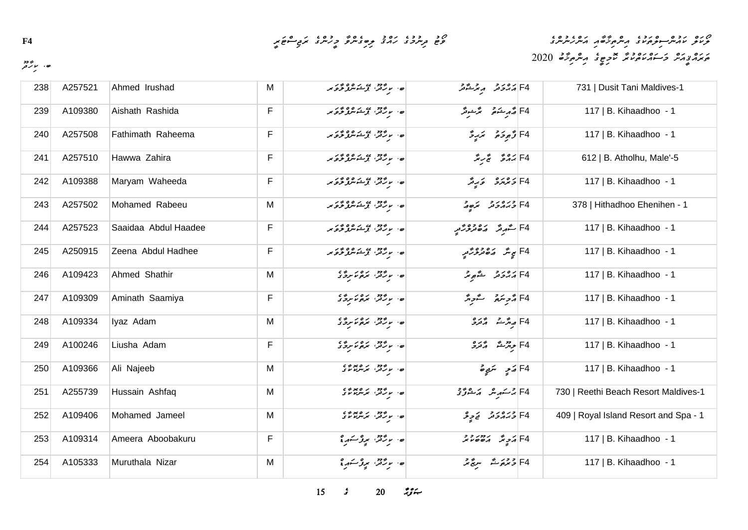*sCw7q7s5w7m< o<n9nOoAw7o< sCq;mAwBoEw7q<m; wBm;vB* م من المرة المرة المرة المرجع المرجع في المركبة 2020<br>مجم*د المريض المربوط المربع المرجع في المراجع المركبة* 

| 238 | A257521 | Ahmed Irushad        | M            |                                                       | F4 كەبرى تەر بەير ئىشكىر           | 731   Dusit Tani Maldives-1           |
|-----|---------|----------------------|--------------|-------------------------------------------------------|------------------------------------|---------------------------------------|
| 239 | A109380 | Aishath Rashida      | F            | ە بەر بۇ ئەسىر ئەرەبىر                                | F4 مَگرمِشَمَّة مَحْرَشُومَّدُ     | 117   B. Kihaadhoo - 1                |
| 240 | A257508 | Fathimath Raheema    | F            | ە بەر دەر بەر ەەھەر<br>تەر بەر دىكى بۇ شەس ئەتىرى بىر | F4 وَج <i>وحَمْ بَرَبِ</i> وَّ     | 117   B. Kihaadhoo - 1                |
| 241 | A257510 | Hawwa Zahira         | F            | ە . بارتىر، ئۇشەملەتمەتلىر                            | F4 يَرْدُوَّ بِحَ بِ               | 612   B. Atholhu, Male'-5             |
| 242 | A109388 | Maryam Waheeda       | F            | ە بەر بۇ ئەسىر ئەرەبىر                                | F4 كى <i>بەر ئارى</i> گە           | 117   B. Kihaadhoo - 1                |
| 243 | A257502 | Mohamed Rabeeu       | M            | ەسىر ئەرەپ بەر مەدەبىر                                | F4 322.3 برَصِ 2                   | 378   Hithadhoo Ehenihen - 1          |
| 244 | A257523 | Saaidaa Abdul Haadee | F            | ە . بارگىر، ئۇشەملەت بەر                              | F4 گەرى <i>گە ھەمرى مەي</i> ر      | 117   B. Kihaadhoo - 1                |
| 245 | A250915 | Zeena Abdul Hadhee   | F            | ە بەر بۇ ئەسىر ۋە ئەر                                 | F4 ىم ئىگە مەھەر <i>ى بىرى</i> تور | 117   B. Kihaadhoo - 1                |
| 246 | A109423 | Ahmed Shathir        | M            | ه . بارود ده د ده.<br>ه . بارتر، مرونا برو د          | F4 <i>مكرونر</i> مت <i>نهونر</i>   | 117   B. Kihaadhoo - 1                |
| 247 | A109309 | Aminath Saamiya      | $\mathsf{F}$ | ه ، بار دو بره بار ده و                               | F4 مُجْرِسَمُ مُجَرِمٌرُ           | 117   B. Kihaadhoo - 1                |
| 248 | A109334 | Iyaz Adam            | M            | ه بارود ده دره.<br>ه بارتر، برونابرد د                | F4 ۾ پڙيئے گھري                    | 117   B. Kihaadhoo - 1                |
| 249 | A100246 | Liusha Adam          | F            | ه ، پاره ده ده د ده                                   | F4 ج <sup>و</sup> رشة دمخرد        | 117   B. Kihaadhoo - 1                |
| 250 | A109366 | Ali Najeeb           | M            | פי עלכבי ממשים.<br>פי עלטי מייטאוני                   | F4 <i>ڇُجِ سَهِ</i> ءَ             | 117   B. Kihaadhoo - 1                |
| 251 | A255739 | Hussain Ashfaq       | M            | ه رود روبرده<br>ه رگز                                 | F4 پرڪ <i>مبر پر پر شوق ت</i> ح    | 730   Reethi Beach Resort Maldives-1  |
| 252 | A109406 | Mohamed Jameel       | M            | ه رود روبرده<br>۱۵ رامز                               | F4 \$ 3 محمد سي قريحه              | 409   Royal Island Resort and Spa - 1 |
| 253 | A109314 | Ameera Aboobakuru    | $\mathsf F$  | ە بەر ئۇچ بېرۇسكەر ؟                                  | $2222$ $25$                        | 117   B. Kihaadhoo - 1                |
| 254 | A105333 | Muruthala Nizar      | M            | ە بىر ئەچىق بىر ئۇسىدۇ.<br>مەسرىمىتى بىر ئۇسىدۇ.      | F4   جرىم ئىگە ئىس ئىم ئىر         | 117   B. Kihaadhoo - 1                |

 $15$  *s* 20  $20$  *n*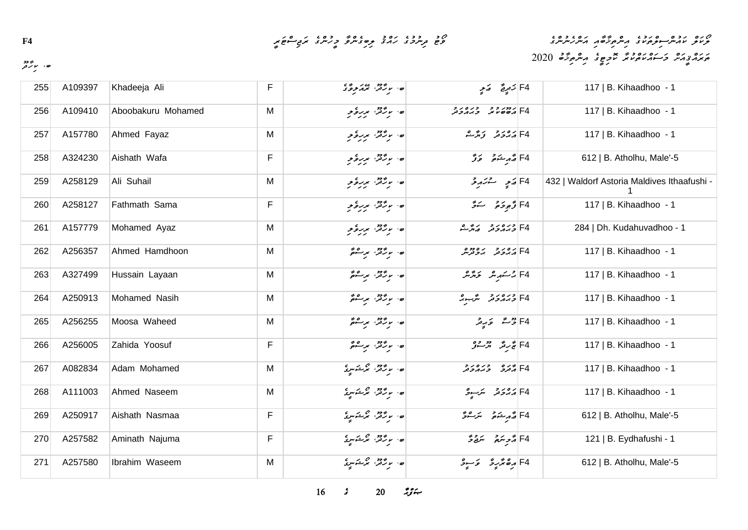*sCw7q7s5w7m< o<n9nOoAw7o< sCq;mAwBoEw7q<m; wBm;vB* م من المرة المرة المرة المرجع المرجع في المركبة 2020<br>مجم*د المريض المربوط المربع المرجع في المراجع المركبة* 

| 255 | A109397 | Khadeeja Ali       | F            | ه ، پارسی محمد و و د                                                                                                                                                                                                                                                                                                                                                                                                     | F4   زَمِرِيحٌ     رَمِرٍ                                                                            | 117   B. Kihaadhoo - 1                      |
|-----|---------|--------------------|--------------|--------------------------------------------------------------------------------------------------------------------------------------------------------------------------------------------------------------------------------------------------------------------------------------------------------------------------------------------------------------------------------------------------------------------------|------------------------------------------------------------------------------------------------------|---------------------------------------------|
| 256 | A109410 | Aboobakuru Mohamed | M            | صبح سر محمد المعرب و حر محر محر محر محر م                                                                                                                                                                                                                                                                                                                                                                                | $5,000$ $7,000$ $F4$                                                                                 | 117   B. Kihaadhoo - 1                      |
| 257 | A157780 | Ahmed Fayaz        | M            | ه ، بارژن بررؤی                                                                                                                                                                                                                                                                                                                                                                                                          | F4 كەبرى تەڭرىشە                                                                                     | 117   B. Kihaadhoo - 1                      |
| 258 | A324230 | Aishath Wafa       | $\mathsf F$  | ه باره در د کار<br>د بارگل برره د                                                                                                                                                                                                                                                                                                                                                                                        | F4 حَمدٍ مِنْتُمْ وَتَرَ                                                                             | 612   B. Atholhu, Male'-5                   |
| 259 | A258129 | Ali Suhail         | M            | ه پرترو بررؤی                                                                                                                                                                                                                                                                                                                                                                                                            | F4 <i>جَرِجِي سُمْرَو جُو</i>                                                                        | 432   Waldorf Astoria Maldives Ithaafushi - |
| 260 | A258127 | Fathmath Sama      | $\mathsf{F}$ | ە بىر ئەچ بىر بەكتى                                                                                                                                                                                                                                                                                                                                                                                                      | F4 وَجِعِدَةٌ سَنَرٌ                                                                                 | 117   B. Kihaadhoo - 1                      |
| 261 | A157779 | Mohamed Ayaz       | M            | صر سر محمد عرب عرب                                                                                                                                                                                                                                                                                                                                                                                                       | F4 دېرونه کې پړه                                                                                     | 284   Dh. Kudahuvadhoo - 1                  |
| 262 | A256357 | Ahmed Hamdhoon     | M            | ه باردو برسو                                                                                                                                                                                                                                                                                                                                                                                                             | F4 ג'מכנג הפניקיים                                                                                   | 117   B. Kihaadhoo - 1                      |
| 263 | A327499 | Hussain Layaan     | M            | ه باردو برسو                                                                                                                                                                                                                                                                                                                                                                                                             | F4 يُرْسَمبِ مَثَرَ حَبَّرْ مَثَر مِنْ الْمَرْسَرِ                                                   | 117   B. Kihaadhoo - 1                      |
| 264 | A250913 | Mohamed Nasih      | M            | ه . برگ <sup>ود</sup> بر م <sup>ه</sup>                                                                                                                                                                                                                                                                                                                                                                                  | F4 <i>جەممى بىر شىبەر ئى</i>                                                                         | 117   B. Kihaadhoo - 1                      |
| 265 | A256255 | Moosa Waheed       | M            | ھ پارچ پر دەپچ                                                                                                                                                                                                                                                                                                                                                                                                           | F4 فخر مَدِيرٌ                                                                                       | 117   B. Kihaadhoo - 1                      |
| 266 | A256005 | Zahida Yoosuf      | F            | ه پرتر پرسو                                                                                                                                                                                                                                                                                                                                                                                                              | F4 يُح پر مُثَرِ حَمْدِ مِنْ سِنْرُ مِنْ سِنْرُ مِنْ سِنْرُ مِنْ سِنْرُ مِنْ سِنْرُ مِنْ سِنْرُ مِنْ | 117   B. Kihaadhoo - 1                      |
| 267 | A082834 | Adam Mohamed       | M            | $\begin{bmatrix} 0 & \sqrt{2} & \sqrt{2} & \sqrt{2} & \sqrt{2} & \sqrt{2} & \sqrt{2} & \sqrt{2} & \sqrt{2} & \sqrt{2} & \sqrt{2} & \sqrt{2} & \sqrt{2} & \sqrt{2} & \sqrt{2} & \sqrt{2} & \sqrt{2} & \sqrt{2} & \sqrt{2} & \sqrt{2} & \sqrt{2} & \sqrt{2} & \sqrt{2} & \sqrt{2} & \sqrt{2} & \sqrt{2} & \sqrt{2} & \sqrt{2} & \sqrt{2} & \sqrt{2} & \sqrt{2} & \sqrt{2} & \sqrt{2} & \sqrt{2} & \sqrt{2} & \sqrt{2} & \$ | F4 څرم وره دي.                                                                                       | 117   B. Kihaadhoo - 1                      |
| 268 | A111003 | Ahmed Naseem       | M            | ھ ، بارگر ، برڪس                                                                                                                                                                                                                                                                                                                                                                                                         | F4 كەبرى كىم ئىر ئىرىدى كىلىدىن ئىر                                                                  | 117   B. Kihaadhoo - 1                      |
| 269 | A250917 | Aishath Nasmaa     | F            | ه برگزار میشوید.<br>۱۳۰                                                                                                                                                                                                                                                                                                                                                                                                  | F4 مەم ئىشقى سىر ئىسىمىتى<br>F4                                                                      | 612   B. Atholhu, Male'-5                   |
| 270 | A257582 | Aminath Najuma     | $\mathsf F$  | ھ ، بارگر ، برڪس                                                                                                                                                                                                                                                                                                                                                                                                         | F4 أَدَّمِ سَوَّجٍ مَسْتَعَمَّدُ                                                                     | 121   B. Eydhafushi - 1                     |
| 271 | A257580 | Ibrahim Waseem     | M            | ھ پر برقراء مرڪبري                                                                                                                                                                                                                                                                                                                                                                                                       | F4 <sub>م</sub> ەنگەر قىسو تىلىنى كىلىنى ئىس                                                         | 612   B. Atholhu, Male'-5                   |

 $16$  *s* 20  $20$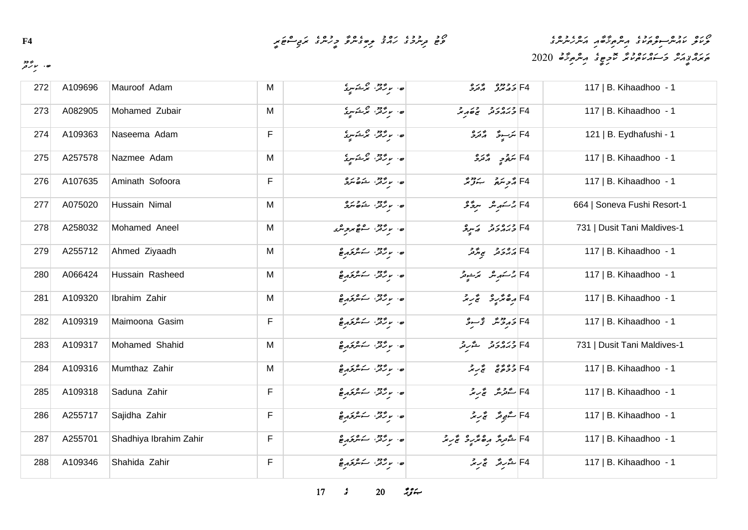*sCw7q7s5w7m< o<n9nOoAw7o< sCq;mAwBoEw7q<m; wBm;vB* م من المرة المرة المرة المرجع المرجع في المركبة 2020<br>مجم*د المريض المربوط المربع المرجع في المراجع المركبة* 

| 272 | A109696 | Mauroof Adam           | M           | ھ ، پارکن کرڪس                          | F4 50,000 مجرده                        | 117   B. Kihaadhoo - 1      |
|-----|---------|------------------------|-------------|-----------------------------------------|----------------------------------------|-----------------------------|
| 273 | A082905 | Mohamed Zubair         | M           | ە بىر ئۇچ ئى شەكىرى                     | F4 32022 3002                          | 117   B. Kihaadhoo - 1      |
| 274 | A109363 | Naseema Adam           | $\mathsf F$ | ە بارتىق ئۇيغانلىرى                     | F4 سَرَسِوتٌ مُرْتَدَّرٌ               | 121   B. Eydhafushi - 1     |
| 275 | A257578 | Nazmee Adam            | M           | ە بار ئۇزا ئۈشكەر ئا                    | F4 سَهْرٍ مُسَرَّد                     | 117   B. Kihaadhoo - 1      |
| 276 | A107635 | Aminath Sofoora        | F           | ے ہر تر دی گھری                         | F4 مُجِسَعَ جَمَعَ                     | 117   B. Kihaadhoo - 1      |
| 277 | A075020 | Hussain Nimal          | M           | ے ہر تر دی گھری                         | F4 يُرْسَمْ مِنْ سِرْدَ وَ             | 664   Soneva Fushi Resort-1 |
| 278 | A258032 | Mohamed Aneel          | M           | ە بەر قرىق سوھ <mark>ى بىر بى</mark> رى | F4 <i>32828 مكيو</i> نځ                | 731   Dusit Tani Maldives-1 |
| 279 | A255712 | Ahmed Ziyaadh          | M           | ە بەردى سەمرىرە                         | F4 <i>ג 25 جو پر چو</i>                | 117   B. Kihaadhoo - 1      |
| 280 | A066424 | Hussain Rasheed        | M           | ھ بار دوسرے میں دوسرے جات               | F4 پُرڪوپر ڪرشوٽر                      | 117   B. Kihaadhoo - 1      |
| 281 | A109320 | Ibrahim Zahir          | M           | ه باردو، سەمرور ه                       | F4 م <i>ِ هغَّرِ وَ</i> گَمَ <i>بِ</i> | 117   B. Kihaadhoo - 1      |
| 282 | A109319 | Maimoona Gasim         | $\mathsf F$ | ۰۰ بارور، سەمرورە                       | F4 <i>وَمِرْدُهُمْ</i> تَوْسِرْدُ      | 117   B. Kihaadhoo - 1      |
| 283 | A109317 | Mohamed Shahid         | M           | ھ بارتر، ڪمريزري                        | F4 <i>وُبَهُ وَمَدْ</i> ـ شَرِيْرُ     | 731   Dusit Tani Maldives-1 |
| 284 | A109316 | Mumthaz Zahir          | M           | ۰۰ برگر کرده و                          | F4 ووځ تج پر                           | 117   B. Kihaadhoo - 1      |
| 285 | A109318 | Saduna Zahir           | F           | ە· بارتر، سەمرور ھ                      | F4 ڪن <i>ورنگ چ</i> ڻ پر               | 117   B. Kihaadhoo - 1      |
| 286 | A255717 | Sajidha Zahir          | F           | ھ بارتر، ڪمبرخ م                        | F4 ڪ <sub>يمبر</sub> تج پ              | 117   B. Kihaadhoo - 1      |
| 287 | A255701 | Shadhiya Ibrahim Zahir | $\mathsf F$ | ۰۰ برتر، سەمرىرە                        | F4 شورتز م <i>وه ترب</i> و تم ب        | 117   B. Kihaadhoo - 1      |
| 288 | A109346 | Shahida Zahir          | $\mathsf F$ | ھ بار دو                                | F4 ڪمبرنگر گچ س <i>ب</i> گر            | 117   B. Kihaadhoo - 1      |

 $17$  *s*  $20$  *i*<sub>s</sub> $\approx$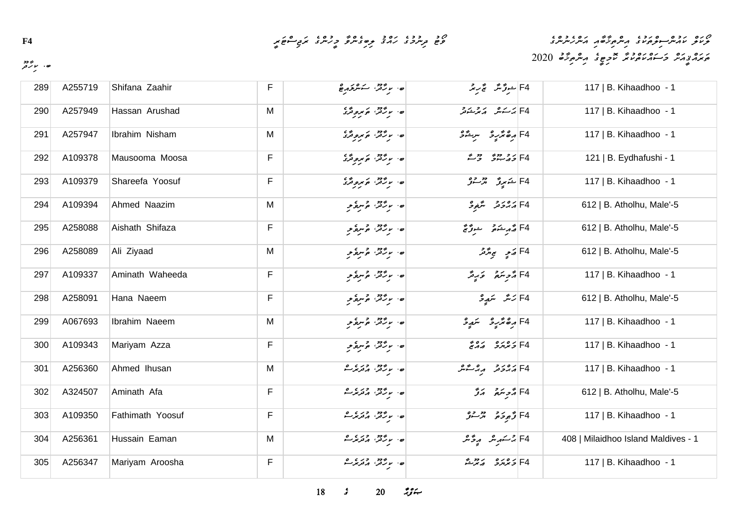*sCw7q7s5w7m< o<n9nOoAw7o< sCq;mAwBoEw7q<m; wBm;vB* م من المرة المرة المرة المرجع المرجع في المركبة 2020<br>مجم*د المريض المربوط المربع المرجع في المراجع المركبة* 

| 289 | A255719 | Shifana Zaahir   | F            | ھ برس سكركرو           | F4 شورٌ مَّذَ جَمْرٍ جَمْهِ                  | 117   B. Kihaadhoo - 1              |
|-----|---------|------------------|--------------|------------------------|----------------------------------------------|-------------------------------------|
| 290 | A257949 | Hassan Arushad   | M            | ه . بار دو . بار و ترو | F4 كەسكەش كەيمى ئىككەنتىر                    | 117   B. Kihaadhoo - 1              |
| 291 | A257947 | Ibrahim Nisham   | M            | ه . بارده کامومرو تری  | F4 مەھەر بولىدى سرىشى F4                     | 117   B. Kihaadhoo - 1              |
| 292 | A109378 | Mausooma Moosa   | $\mathsf F$  | ه ، بارگش ه موه مرد    | $2, 3, 2, 3$ F4                              | 121   B. Eydhafushi - 1             |
| 293 | A109379 | Shareefa Yoosuf  | $\mathsf{F}$ | ه ، بارگیل هم موفرد    | F4 شمېرتز تر <i>ه دو</i>                     | 117   B. Kihaadhoo - 1              |
| 294 | A109394 | Ahmed Naazim     | M            | ه برگتر، محسوم د       | F4 <i>جَدْدُ</i> جَمْدِ مُحْمَدِ حَمْدِ      | 612   B. Atholhu, Male'-5           |
| 295 | A258088 | Aishath Shifaza  | F            | ه برگزش می سرگام       | F4 مُرمِشَمُ مُورَّجٌ                        | 612   B. Atholhu, Male'-5           |
| 296 | A258089 | Ali Ziyaad       | M            | ه برنگر، مربوع         | F4 <i>ھَجِ</i> بِمِعَرَّمَتَر                | 612   B. Atholhu, Male'-5           |
| 297 | A109337 | Aminath Waheeda  | $\mathsf F$  | ه برگتر، محسوم د       | F4 مُتَّحِسَمَةً وَبِيَّتَرَ                 | 117   B. Kihaadhoo - 1              |
| 298 | A258091 | Hana Naeem       | $\mathsf{F}$ | ه برگزش می سره م       | F4 رَسٌ سَمِيرٌ                              | 612   B. Atholhu, Male'-5           |
| 299 | A067693 | Ibrahim Naeem    | M            | ه ، بارگیل می سره م    | F4 مەھەرى ئىر ئىمدى                          | 117   B. Kihaadhoo - 1              |
| 300 | A109343 | Mariyam Azza     | F            | ه برگتر، محسوم د       | $501025$ F4                                  | 117   B. Kihaadhoo - 1              |
| 301 | A256360 | Ahmed Ihusan     | M            | ه برگرد وری ه          | F4 كەبرى ھەر بەرگەنگەر                       | 117   B. Kihaadhoo - 1              |
| 302 | A324507 | Aminath Afa      | $\mathsf F$  | ه برگر وره ور          | F4 مُجِسَعَةً مَرَّزٌ                        | 612   B. Atholhu, Male'-5           |
| 303 | A109350 | Fathimath Yoosuf | $\mathsf F$  | ه ، پارتو، دری ه       | F4 زَ <sub>جو</sub> حَ هُ مَرْ <i>- بِنْ</i> | 117   B. Kihaadhoo - 1              |
| 304 | A256361 | Hussain Eaman    | M            | ه برگرد وری ه          | F4 يُرْسَمْ مِنْ مِرْمَسْرِ                  | 408   Milaidhoo Island Maldives - 1 |
| 305 | A256347 | Mariyam Aroosha  | F            | ه پرتر دری ه           | F4 كو بردير كار ديو بر                       | 117   B. Kihaadhoo - 1              |

 $18$  *s* 20 *i*<sub>S</sub> $\approx$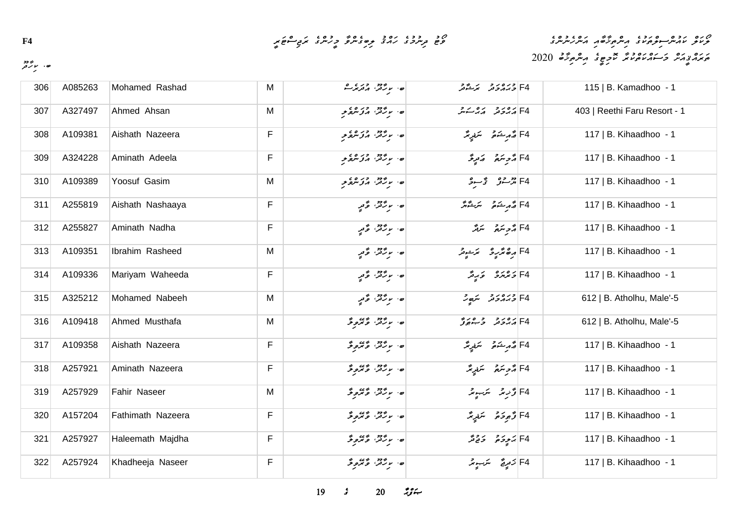*sCw7q7s5w7m< o<n9nOoAw7o< sCq;mAwBoEw7q<m; wBm;vB* م من المرة المرة المرة المرجع المرجع في المركبة 2020<br>مجم*د المريض المربوط المربع المرجع في المراجع المركبة* 

| 306 | A085263 | Mohamed Rashad    | M            | ه ، پارسی مر <sub>ور</sub> ی ه                                                                       | F4 وَيَرْدُونَوْ - يَرْشُونْرُ      | 115   B. Kamadhoo - 1        |
|-----|---------|-------------------|--------------|------------------------------------------------------------------------------------------------------|-------------------------------------|------------------------------|
| 307 | A327497 | Ahmed Ahsan       | M            | ه· پارتو، دی موځو                                                                                    | F4 كەندى قىر كەندىسى بىر            | 403   Reethi Faru Resort - 1 |
| 308 | A109381 | Aishath Nazeera   | $\mathsf{F}$ | ە بەر دىن مۇسھۇم                                                                                     | F4 مُدمِسْمَة مَنْدِيَّر            | 117   B. Kihaadhoo - 1       |
| 309 | A324228 | Aminath Adeela    | $\mathsf F$  | ه باردو وره و                                                                                        | F4 مُتَّحِسَمَةً مَسْرِقَتْ         | 117   B. Kihaadhoo - 1       |
| 310 | A109389 | Yoosuf Gasim      | M            | ە بەر دىن مۇسھۇم                                                                                     | F4 جي تي تي تي پيدا علي             | 117   B. Kihaadhoo - 1       |
| 311 | A255819 | Aishath Nashaaya  | $\mathsf{F}$ | ە بىر ئەدىم ھەير                                                                                     | F4 مُجمعِ مُ سَرَحْتُمُرٌ           | 117   B. Kihaadhoo - 1       |
| 312 | A255827 | Aminath Nadha     | F            | ە بىر ئەدىم ھەير                                                                                     | F4 مُجِسَعُ مَلَّدٌ                 | 117   B. Kihaadhoo - 1       |
| 313 | A109351 | Ibrahim Rasheed   | M            | ە بىر دەد.<br>ئ                                                                                      | F4 مەھەرىرى كەندىر                  | 117   B. Kihaadhoo - 1       |
| 314 | A109336 | Mariyam Waheeda   | F            | ە بىر دەد.<br>ئ                                                                                      | F4 كەبىر <i>كەبىرىگە</i>            | 117   B. Kihaadhoo - 1       |
| 315 | A325212 | Mohamed Nabeeh    | M            | ە بىر ئەدىم ھەير                                                                                     | F4 ديرورو س <i>ت</i> ھ <sup>2</sup> | 612   B. Atholhu, Male'-5    |
| 316 | A109418 | Ahmed Musthafa    | M            | ە· بەردە ئەسىم ئە                                                                                    | F4 كەبرو ھەر يەدە                   | 612   B. Atholhu, Male'-5    |
| 317 | A109358 | Aishath Nazeera   | F            | ە· بەرتىر، ئۇتترەتى                                                                                  | F4 م <i>ەُم شەھ</i> سَمْدٍ مَّ      | 117   B. Kihaadhoo - 1       |
| 318 | A257921 | Aminath Nazeera   | $\mathsf F$  | ە· بەردە ئەسىمى ئىگە                                                                                 | F4 مُرْحِ مَرْمَ مَنْدِيَّرَ        | 117   B. Kihaadhoo - 1       |
| 319 | A257929 | Fahir Naseer      | M            | ه ، بارته ، ویمونځ                                                                                   | F4 وَرِيْرُ مَرْسِيْرُ              | 117   B. Kihaadhoo - 1       |
| 320 | A157204 | Fathimath Nazeera | $\mathsf F$  | ە· بەردە ئەسىمى ئىگە                                                                                 | F4 رَّج <i>ودَة</i> سَمْدِيَّر      | 117   B. Kihaadhoo - 1       |
| 321 | A257927 | Haleemath Majdha  | $\mathsf{F}$ | ە· بەردە ئەسىم ئىلگىنىشى ئىلگانىي ئىلگانى ئىلگانى ئىلگانى ئىلگانى ئىلگانى ئىلگانى ئىلگانى ئىلگانى ئى | F4 كەرد <i>ە ئى</i> قە قە           | 117   B. Kihaadhoo - 1       |
| 322 | A257924 | Khadheeja Naseer  | F            | ە بەر ئۆز ئەينى ئە                                                                                   | F4 كَتَرِيعٌ مُتَرَسِيمٌ }          | 117   B. Kihaadhoo - 1       |

*19 s* 20 *i*<sub>s</sub> 20